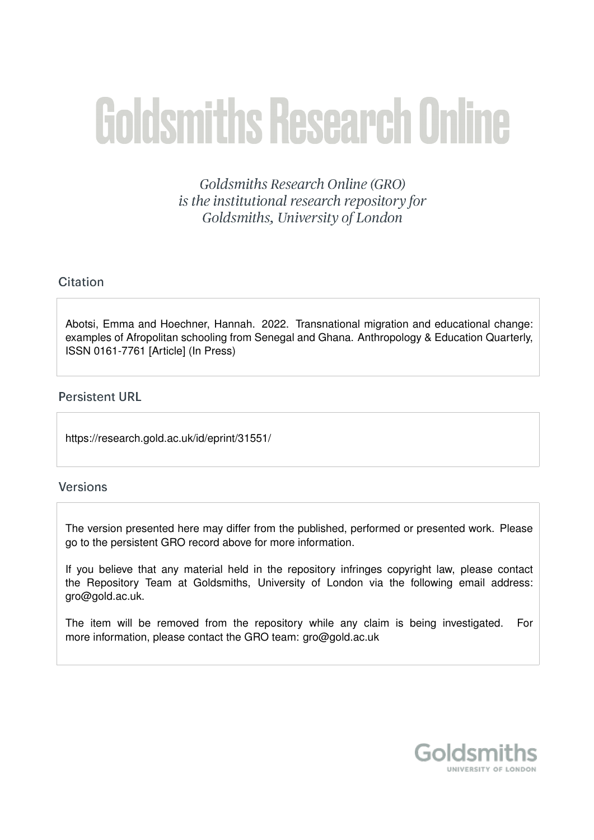# **Goldsmiths Research Online**

Goldsmiths Research Online (GRO) is the institutional research repository for Goldsmiths, University of London

# Citation

Abotsi, Emma and Hoechner, Hannah. 2022. Transnational migration and educational change: examples of Afropolitan schooling from Senegal and Ghana. Anthropology & Education Quarterly, ISSN 0161-7761 [Article] (In Press)

# **Persistent URL**

https://research.gold.ac.uk/id/eprint/31551/

# **Versions**

The version presented here may differ from the published, performed or presented work. Please go to the persistent GRO record above for more information.

If you believe that any material held in the repository infringes copyright law, please contact the Repository Team at Goldsmiths, University of London via the following email address: gro@gold.ac.uk.

The item will be removed from the repository while any claim is being investigated. For more information, please contact the GRO team: gro@gold.ac.uk

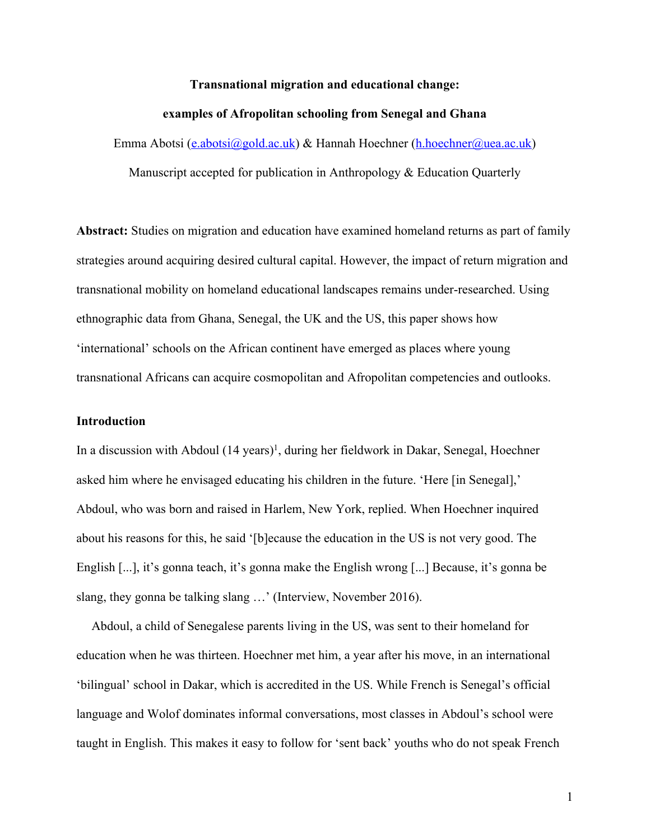### **Transnational migration and educational change:**

#### **examples of Afropolitan schooling from Senegal and Ghana**

Emma Abotsi (e.abotsi@gold.ac.uk) & Hannah Hoechner (h.hoechner@uea.ac.uk)

Manuscript accepted for publication in Anthropology & Education Quarterly

**Abstract:** Studies on migration and education have examined homeland returns as part of family strategies around acquiring desired cultural capital. However, the impact of return migration and transnational mobility on homeland educational landscapes remains under-researched. Using ethnographic data from Ghana, Senegal, the UK and the US, this paper shows how 'international' schools on the African continent have emerged as places where young transnational Africans can acquire cosmopolitan and Afropolitan competencies and outlooks.

# **Introduction**

In a discussion with Abdoul (14 years)<sup>1</sup>, during her fieldwork in Dakar, Senegal, Hoechner asked him where he envisaged educating his children in the future. 'Here [in Senegal],' Abdoul, who was born and raised in Harlem, New York, replied. When Hoechner inquired about his reasons for this, he said '[b]ecause the education in the US is not very good. The English [...], it's gonna teach, it's gonna make the English wrong [...] Because, it's gonna be slang, they gonna be talking slang …' (Interview, November 2016).

Abdoul, a child of Senegalese parents living in the US, was sent to their homeland for education when he was thirteen. Hoechner met him, a year after his move, in an international 'bilingual' school in Dakar, which is accredited in the US. While French is Senegal's official language and Wolof dominates informal conversations, most classes in Abdoul's school were taught in English. This makes it easy to follow for 'sent back' youths who do not speak French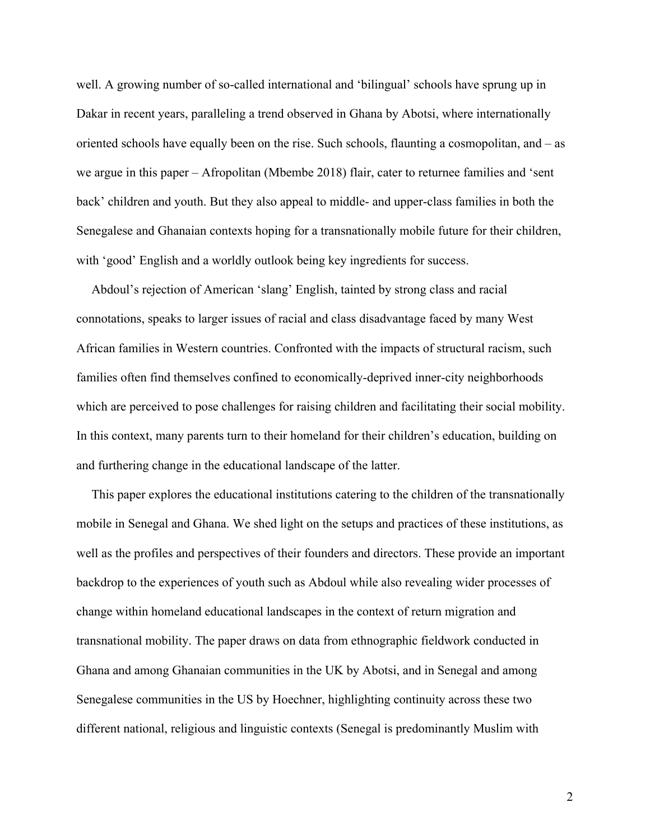well. A growing number of so-called international and 'bilingual' schools have sprung up in Dakar in recent years, paralleling a trend observed in Ghana by Abotsi, where internationally oriented schools have equally been on the rise. Such schools, flaunting a cosmopolitan, and – as we argue in this paper – Afropolitan (Mbembe 2018) flair, cater to returnee families and 'sent back' children and youth. But they also appeal to middle- and upper-class families in both the Senegalese and Ghanaian contexts hoping for a transnationally mobile future for their children, with 'good' English and a worldly outlook being key ingredients for success.

Abdoul's rejection of American 'slang' English, tainted by strong class and racial connotations, speaks to larger issues of racial and class disadvantage faced by many West African families in Western countries. Confronted with the impacts of structural racism, such families often find themselves confined to economically-deprived inner-city neighborhoods which are perceived to pose challenges for raising children and facilitating their social mobility. In this context, many parents turn to their homeland for their children's education, building on and furthering change in the educational landscape of the latter.

This paper explores the educational institutions catering to the children of the transnationally mobile in Senegal and Ghana. We shed light on the setups and practices of these institutions, as well as the profiles and perspectives of their founders and directors. These provide an important backdrop to the experiences of youth such as Abdoul while also revealing wider processes of change within homeland educational landscapes in the context of return migration and transnational mobility. The paper draws on data from ethnographic fieldwork conducted in Ghana and among Ghanaian communities in the UK by Abotsi, and in Senegal and among Senegalese communities in the US by Hoechner, highlighting continuity across these two different national, religious and linguistic contexts (Senegal is predominantly Muslim with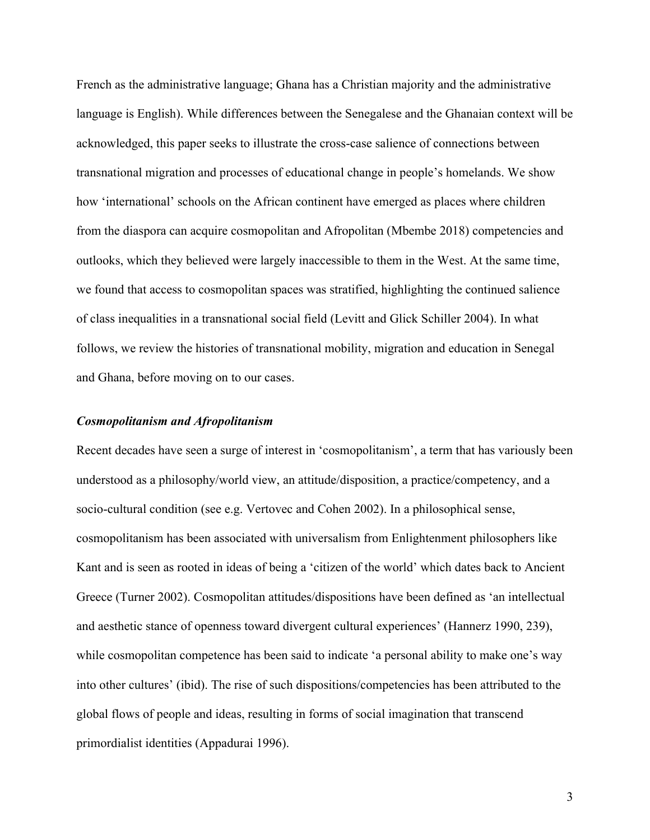French as the administrative language; Ghana has a Christian majority and the administrative language is English). While differences between the Senegalese and the Ghanaian context will be acknowledged, this paper seeks to illustrate the cross-case salience of connections between transnational migration and processes of educational change in people's homelands. We show how 'international' schools on the African continent have emerged as places where children from the diaspora can acquire cosmopolitan and Afropolitan (Mbembe 2018) competencies and outlooks, which they believed were largely inaccessible to them in the West. At the same time, we found that access to cosmopolitan spaces was stratified, highlighting the continued salience of class inequalities in a transnational social field (Levitt and Glick Schiller 2004). In what follows, we review the histories of transnational mobility, migration and education in Senegal and Ghana, before moving on to our cases.

## *Cosmopolitanism and Afropolitanism*

Recent decades have seen a surge of interest in 'cosmopolitanism', a term that has variously been understood as a philosophy/world view, an attitude/disposition, a practice/competency, and a socio-cultural condition (see e.g. Vertovec and Cohen 2002). In a philosophical sense, cosmopolitanism has been associated with universalism from Enlightenment philosophers like Kant and is seen as rooted in ideas of being a 'citizen of the world' which dates back to Ancient Greece (Turner 2002). Cosmopolitan attitudes/dispositions have been defined as 'an intellectual and aesthetic stance of openness toward divergent cultural experiences' (Hannerz 1990, 239), while cosmopolitan competence has been said to indicate 'a personal ability to make one's way into other cultures' (ibid). The rise of such dispositions/competencies has been attributed to the global flows of people and ideas, resulting in forms of social imagination that transcend primordialist identities (Appadurai 1996).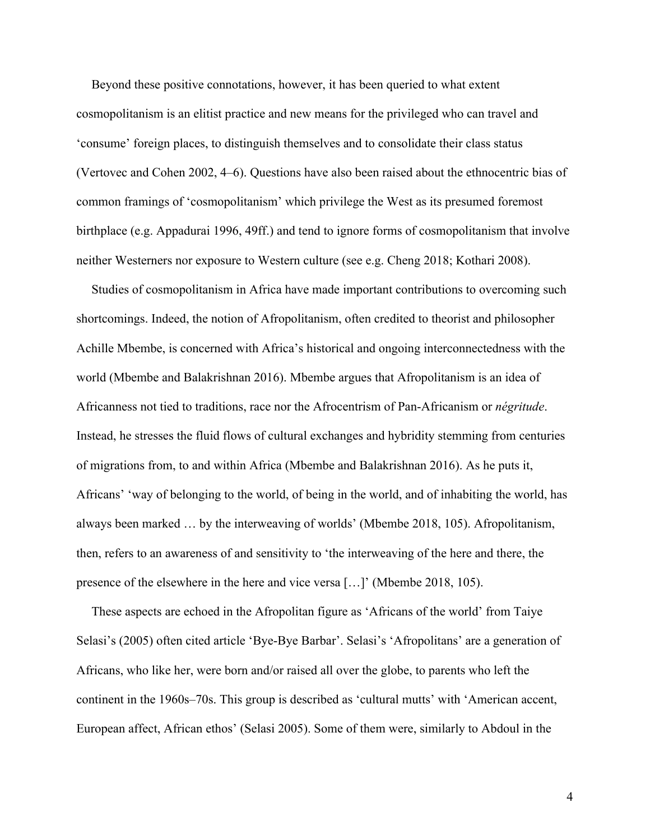Beyond these positive connotations, however, it has been queried to what extent cosmopolitanism is an elitist practice and new means for the privileged who can travel and 'consume' foreign places, to distinguish themselves and to consolidate their class status (Vertovec and Cohen 2002, 4–6). Questions have also been raised about the ethnocentric bias of common framings of 'cosmopolitanism' which privilege the West as its presumed foremost birthplace (e.g. Appadurai 1996, 49ff.) and tend to ignore forms of cosmopolitanism that involve neither Westerners nor exposure to Western culture (see e.g. Cheng 2018; Kothari 2008).

Studies of cosmopolitanism in Africa have made important contributions to overcoming such shortcomings. Indeed, the notion of Afropolitanism, often credited to theorist and philosopher Achille Mbembe, is concerned with Africa's historical and ongoing interconnectedness with the world (Mbembe and Balakrishnan 2016). Mbembe argues that Afropolitanism is an idea of Africanness not tied to traditions, race nor the Afrocentrism of Pan-Africanism or *négritude*. Instead, he stresses the fluid flows of cultural exchanges and hybridity stemming from centuries of migrations from, to and within Africa (Mbembe and Balakrishnan 2016). As he puts it, Africans' 'way of belonging to the world, of being in the world, and of inhabiting the world, has always been marked … by the interweaving of worlds' (Mbembe 2018, 105). Afropolitanism, then, refers to an awareness of and sensitivity to 'the interweaving of the here and there, the presence of the elsewhere in the here and vice versa […]' (Mbembe 2018, 105).

These aspects are echoed in the Afropolitan figure as 'Africans of the world' from Taiye Selasi's (2005) often cited article 'Bye-Bye Barbar'. Selasi's 'Afropolitans' are a generation of Africans, who like her, were born and/or raised all over the globe, to parents who left the continent in the 1960s–70s. This group is described as 'cultural mutts' with 'American accent, European affect, African ethos' (Selasi 2005). Some of them were, similarly to Abdoul in the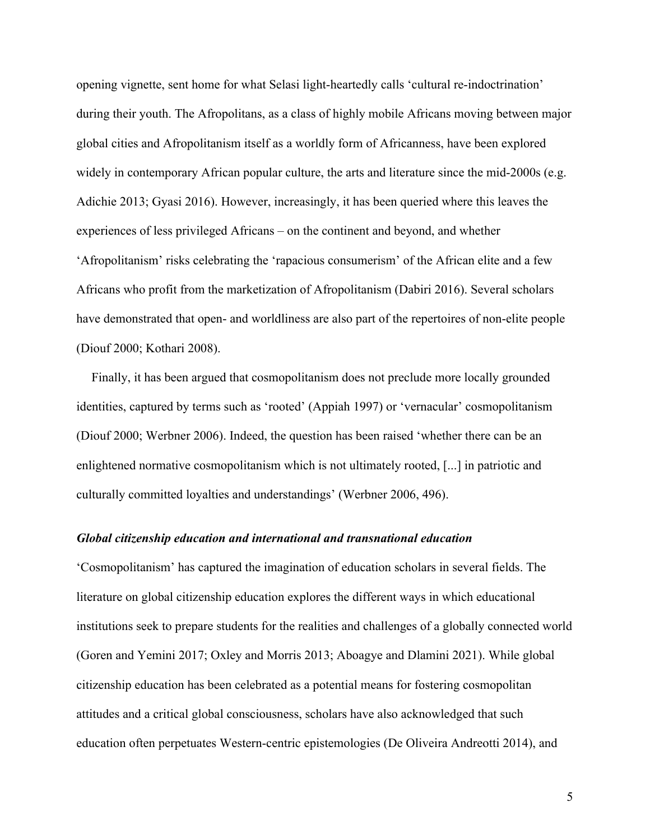opening vignette, sent home for what Selasi light-heartedly calls 'cultural re-indoctrination' during their youth. The Afropolitans, as a class of highly mobile Africans moving between major global cities and Afropolitanism itself as a worldly form of Africanness, have been explored widely in contemporary African popular culture, the arts and literature since the mid-2000s (e.g. Adichie 2013; Gyasi 2016). However, increasingly, it has been queried where this leaves the experiences of less privileged Africans – on the continent and beyond, and whether 'Afropolitanism' risks celebrating the 'rapacious consumerism' of the African elite and a few Africans who profit from the marketization of Afropolitanism (Dabiri 2016). Several scholars have demonstrated that open- and worldliness are also part of the repertoires of non-elite people (Diouf 2000; Kothari 2008).

Finally, it has been argued that cosmopolitanism does not preclude more locally grounded identities, captured by terms such as 'rooted' (Appiah 1997) or 'vernacular' cosmopolitanism (Diouf 2000; Werbner 2006). Indeed, the question has been raised 'whether there can be an enlightened normative cosmopolitanism which is not ultimately rooted, [...] in patriotic and culturally committed loyalties and understandings' (Werbner 2006, 496).

## *Global citizenship education and international and transnational education*

'Cosmopolitanism' has captured the imagination of education scholars in several fields. The literature on global citizenship education explores the different ways in which educational institutions seek to prepare students for the realities and challenges of a globally connected world (Goren and Yemini 2017; Oxley and Morris 2013; Aboagye and Dlamini 2021). While global citizenship education has been celebrated as a potential means for fostering cosmopolitan attitudes and a critical global consciousness, scholars have also acknowledged that such education often perpetuates Western-centric epistemologies (De Oliveira Andreotti 2014), and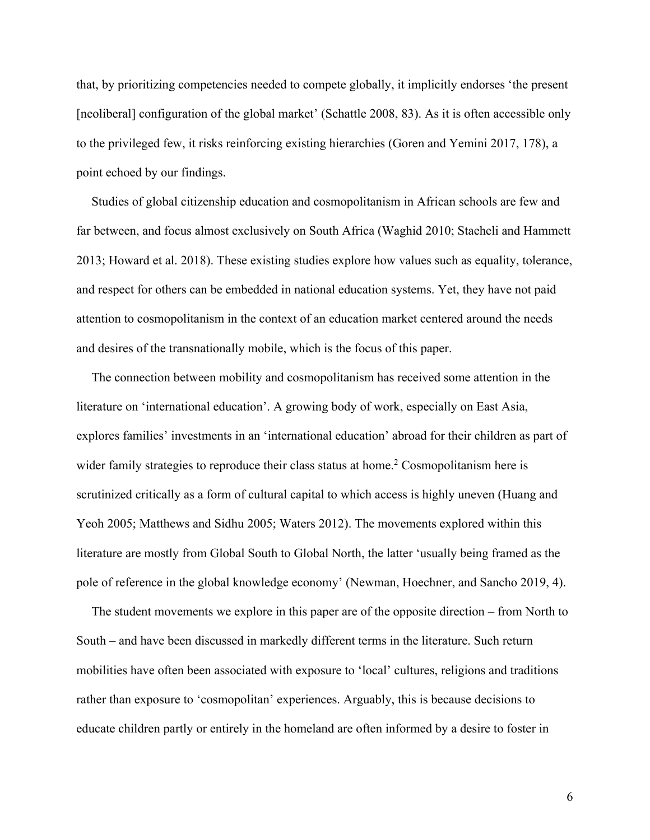that, by prioritizing competencies needed to compete globally, it implicitly endorses 'the present [neoliberal] configuration of the global market' (Schattle 2008, 83). As it is often accessible only to the privileged few, it risks reinforcing existing hierarchies (Goren and Yemini 2017, 178), a point echoed by our findings.

Studies of global citizenship education and cosmopolitanism in African schools are few and far between, and focus almost exclusively on South Africa (Waghid 2010; Staeheli and Hammett 2013; Howard et al. 2018). These existing studies explore how values such as equality, tolerance, and respect for others can be embedded in national education systems. Yet, they have not paid attention to cosmopolitanism in the context of an education market centered around the needs and desires of the transnationally mobile, which is the focus of this paper.

The connection between mobility and cosmopolitanism has received some attention in the literature on 'international education'. A growing body of work, especially on East Asia, explores families' investments in an 'international education' abroad for their children as part of wider family strategies to reproduce their class status at home.<sup>2</sup> Cosmopolitanism here is scrutinized critically as a form of cultural capital to which access is highly uneven (Huang and Yeoh 2005; Matthews and Sidhu 2005; Waters 2012). The movements explored within this literature are mostly from Global South to Global North, the latter 'usually being framed as the pole of reference in the global knowledge economy' (Newman, Hoechner, and Sancho 2019, 4).

The student movements we explore in this paper are of the opposite direction – from North to South – and have been discussed in markedly different terms in the literature. Such return mobilities have often been associated with exposure to 'local' cultures, religions and traditions rather than exposure to 'cosmopolitan' experiences. Arguably, this is because decisions to educate children partly or entirely in the homeland are often informed by a desire to foster in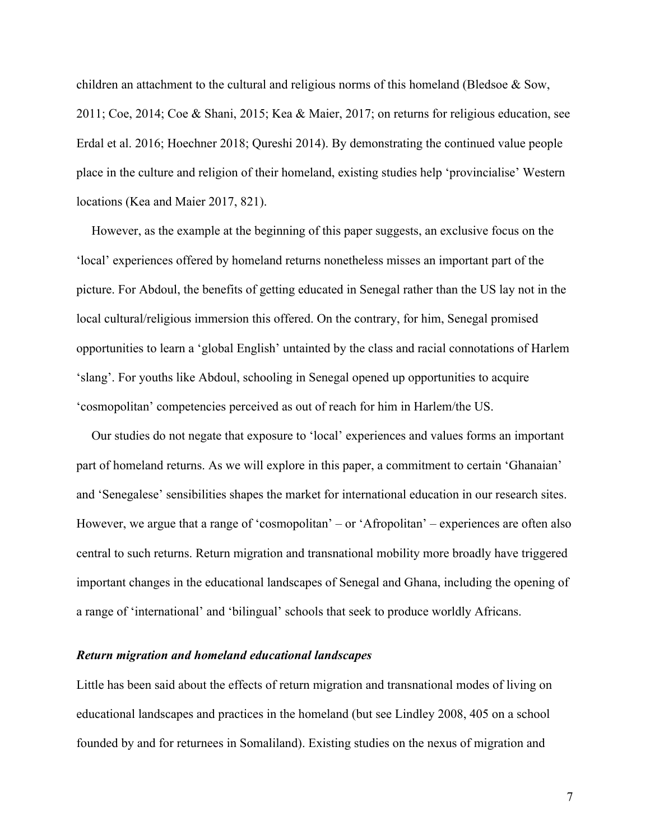children an attachment to the cultural and religious norms of this homeland (Bledsoe & Sow, 2011; Coe, 2014; Coe & Shani, 2015; Kea & Maier, 2017; on returns for religious education, see Erdal et al. 2016; Hoechner 2018; Qureshi 2014). By demonstrating the continued value people place in the culture and religion of their homeland, existing studies help 'provincialise' Western locations (Kea and Maier 2017, 821).

However, as the example at the beginning of this paper suggests, an exclusive focus on the 'local' experiences offered by homeland returns nonetheless misses an important part of the picture. For Abdoul, the benefits of getting educated in Senegal rather than the US lay not in the local cultural/religious immersion this offered. On the contrary, for him, Senegal promised opportunities to learn a 'global English' untainted by the class and racial connotations of Harlem 'slang'. For youths like Abdoul, schooling in Senegal opened up opportunities to acquire 'cosmopolitan' competencies perceived as out of reach for him in Harlem/the US.

Our studies do not negate that exposure to 'local' experiences and values forms an important part of homeland returns. As we will explore in this paper, a commitment to certain 'Ghanaian' and 'Senegalese' sensibilities shapes the market for international education in our research sites. However, we argue that a range of 'cosmopolitan' – or 'Afropolitan' – experiences are often also central to such returns. Return migration and transnational mobility more broadly have triggered important changes in the educational landscapes of Senegal and Ghana, including the opening of a range of 'international' and 'bilingual' schools that seek to produce worldly Africans.

# *Return migration and homeland educational landscapes*

Little has been said about the effects of return migration and transnational modes of living on educational landscapes and practices in the homeland (but see Lindley 2008, 405 on a school founded by and for returnees in Somaliland). Existing studies on the nexus of migration and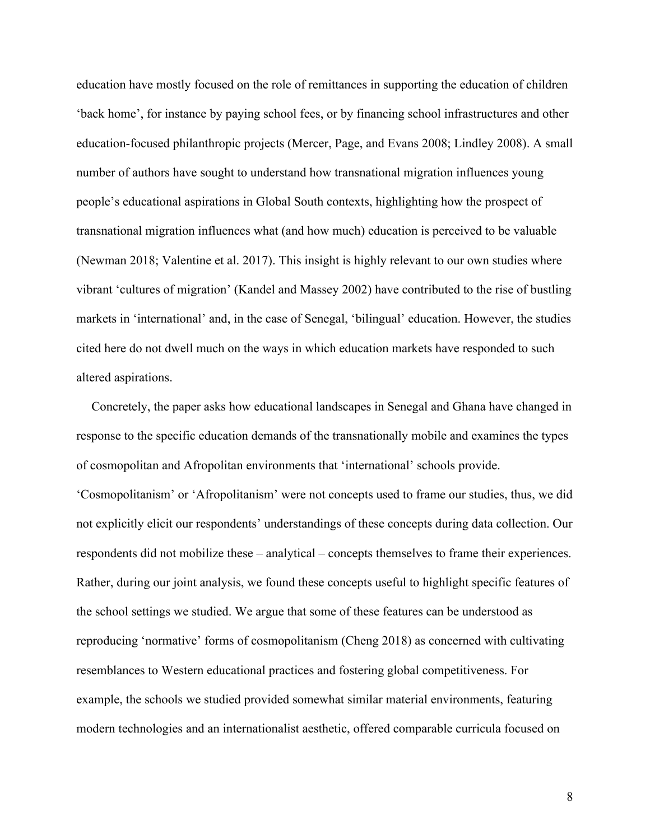education have mostly focused on the role of remittances in supporting the education of children 'back home', for instance by paying school fees, or by financing school infrastructures and other education-focused philanthropic projects (Mercer, Page, and Evans 2008; Lindley 2008). A small number of authors have sought to understand how transnational migration influences young people's educational aspirations in Global South contexts, highlighting how the prospect of transnational migration influences what (and how much) education is perceived to be valuable (Newman 2018; Valentine et al. 2017). This insight is highly relevant to our own studies where vibrant 'cultures of migration' (Kandel and Massey 2002) have contributed to the rise of bustling markets in 'international' and, in the case of Senegal, 'bilingual' education. However, the studies cited here do not dwell much on the ways in which education markets have responded to such altered aspirations.

Concretely, the paper asks how educational landscapes in Senegal and Ghana have changed in response to the specific education demands of the transnationally mobile and examines the types of cosmopolitan and Afropolitan environments that 'international' schools provide. 'Cosmopolitanism' or 'Afropolitanism' were not concepts used to frame our studies, thus, we did not explicitly elicit our respondents' understandings of these concepts during data collection. Our respondents did not mobilize these – analytical – concepts themselves to frame their experiences. Rather, during our joint analysis, we found these concepts useful to highlight specific features of the school settings we studied. We argue that some of these features can be understood as reproducing 'normative' forms of cosmopolitanism (Cheng 2018) as concerned with cultivating resemblances to Western educational practices and fostering global competitiveness. For example, the schools we studied provided somewhat similar material environments, featuring modern technologies and an internationalist aesthetic, offered comparable curricula focused on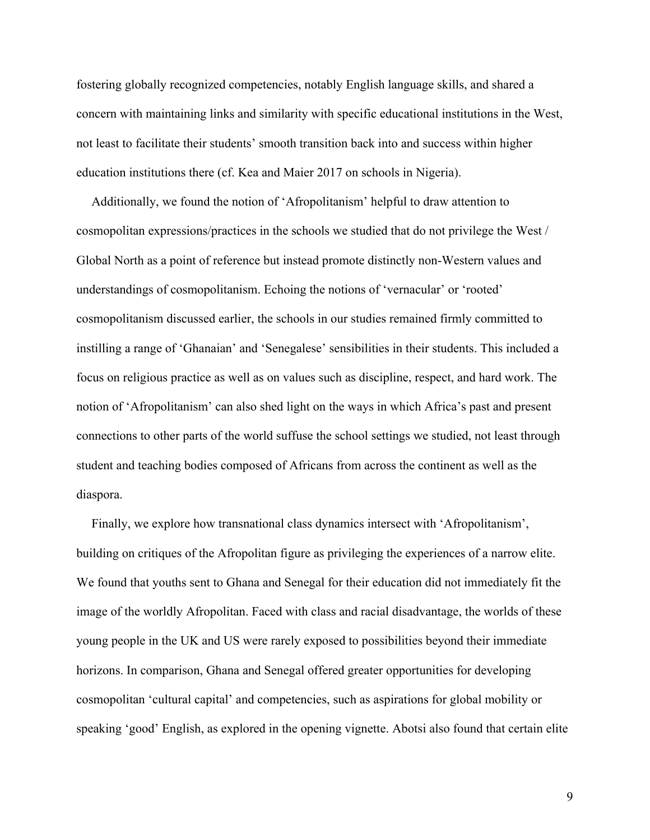fostering globally recognized competencies, notably English language skills, and shared a concern with maintaining links and similarity with specific educational institutions in the West, not least to facilitate their students' smooth transition back into and success within higher education institutions there (cf. Kea and Maier 2017 on schools in Nigeria).

Additionally, we found the notion of 'Afropolitanism' helpful to draw attention to cosmopolitan expressions/practices in the schools we studied that do not privilege the West / Global North as a point of reference but instead promote distinctly non-Western values and understandings of cosmopolitanism. Echoing the notions of 'vernacular' or 'rooted' cosmopolitanism discussed earlier, the schools in our studies remained firmly committed to instilling a range of 'Ghanaian' and 'Senegalese' sensibilities in their students. This included a focus on religious practice as well as on values such as discipline, respect, and hard work. The notion of 'Afropolitanism' can also shed light on the ways in which Africa's past and present connections to other parts of the world suffuse the school settings we studied, not least through student and teaching bodies composed of Africans from across the continent as well as the diaspora.

Finally, we explore how transnational class dynamics intersect with 'Afropolitanism', building on critiques of the Afropolitan figure as privileging the experiences of a narrow elite. We found that youths sent to Ghana and Senegal for their education did not immediately fit the image of the worldly Afropolitan. Faced with class and racial disadvantage, the worlds of these young people in the UK and US were rarely exposed to possibilities beyond their immediate horizons. In comparison, Ghana and Senegal offered greater opportunities for developing cosmopolitan 'cultural capital' and competencies, such as aspirations for global mobility or speaking 'good' English, as explored in the opening vignette. Abotsi also found that certain elite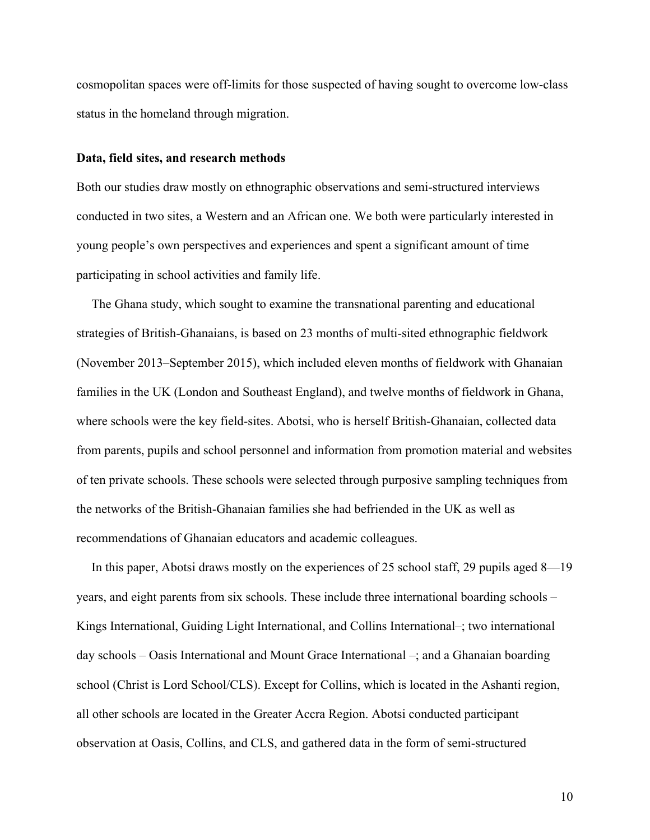cosmopolitan spaces were off-limits for those suspected of having sought to overcome low-class status in the homeland through migration.

#### **Data, field sites, and research methods**

Both our studies draw mostly on ethnographic observations and semi-structured interviews conducted in two sites, a Western and an African one. We both were particularly interested in young people's own perspectives and experiences and spent a significant amount of time participating in school activities and family life.

The Ghana study, which sought to examine the transnational parenting and educational strategies of British-Ghanaians, is based on 23 months of multi-sited ethnographic fieldwork (November 2013–September 2015), which included eleven months of fieldwork with Ghanaian families in the UK (London and Southeast England), and twelve months of fieldwork in Ghana, where schools were the key field-sites. Abotsi, who is herself British-Ghanaian, collected data from parents, pupils and school personnel and information from promotion material and websites of ten private schools. These schools were selected through purposive sampling techniques from the networks of the British-Ghanaian families she had befriended in the UK as well as recommendations of Ghanaian educators and academic colleagues.

In this paper, Abotsi draws mostly on the experiences of 25 school staff, 29 pupils aged 8—19 years, and eight parents from six schools. These include three international boarding schools – Kings International, Guiding Light International, and Collins International–; two international day schools – Oasis International and Mount Grace International –; and a Ghanaian boarding school (Christ is Lord School/CLS). Except for Collins, which is located in the Ashanti region, all other schools are located in the Greater Accra Region. Abotsi conducted participant observation at Oasis, Collins, and CLS, and gathered data in the form of semi-structured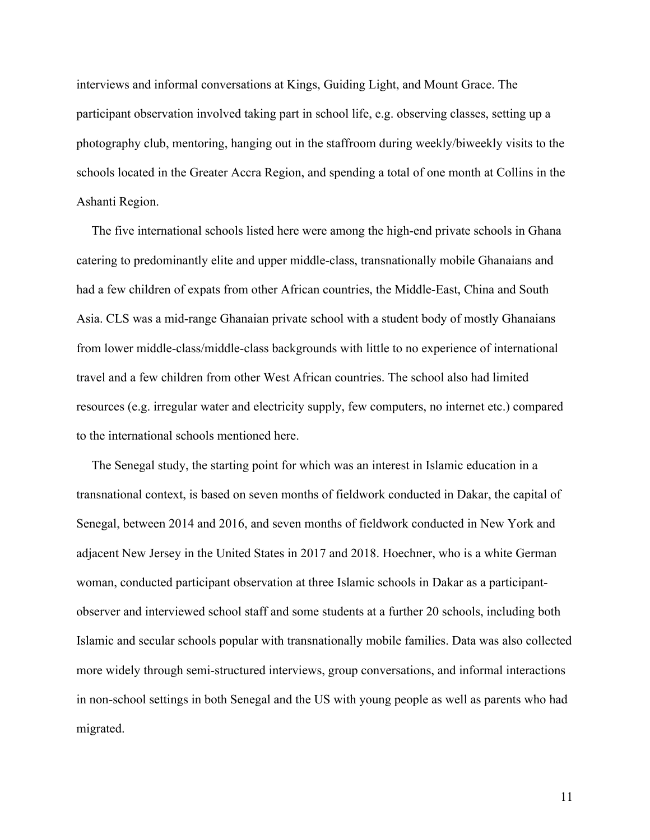interviews and informal conversations at Kings, Guiding Light, and Mount Grace. The participant observation involved taking part in school life, e.g. observing classes, setting up a photography club, mentoring, hanging out in the staffroom during weekly/biweekly visits to the schools located in the Greater Accra Region, and spending a total of one month at Collins in the Ashanti Region.

The five international schools listed here were among the high-end private schools in Ghana catering to predominantly elite and upper middle-class, transnationally mobile Ghanaians and had a few children of expats from other African countries, the Middle-East, China and South Asia. CLS was a mid-range Ghanaian private school with a student body of mostly Ghanaians from lower middle-class/middle-class backgrounds with little to no experience of international travel and a few children from other West African countries. The school also had limited resources (e.g. irregular water and electricity supply, few computers, no internet etc.) compared to the international schools mentioned here.

The Senegal study, the starting point for which was an interest in Islamic education in a transnational context, is based on seven months of fieldwork conducted in Dakar, the capital of Senegal, between 2014 and 2016, and seven months of fieldwork conducted in New York and adjacent New Jersey in the United States in 2017 and 2018. Hoechner, who is a white German woman, conducted participant observation at three Islamic schools in Dakar as a participantobserver and interviewed school staff and some students at a further 20 schools, including both Islamic and secular schools popular with transnationally mobile families. Data was also collected more widely through semi-structured interviews, group conversations, and informal interactions in non-school settings in both Senegal and the US with young people as well as parents who had migrated.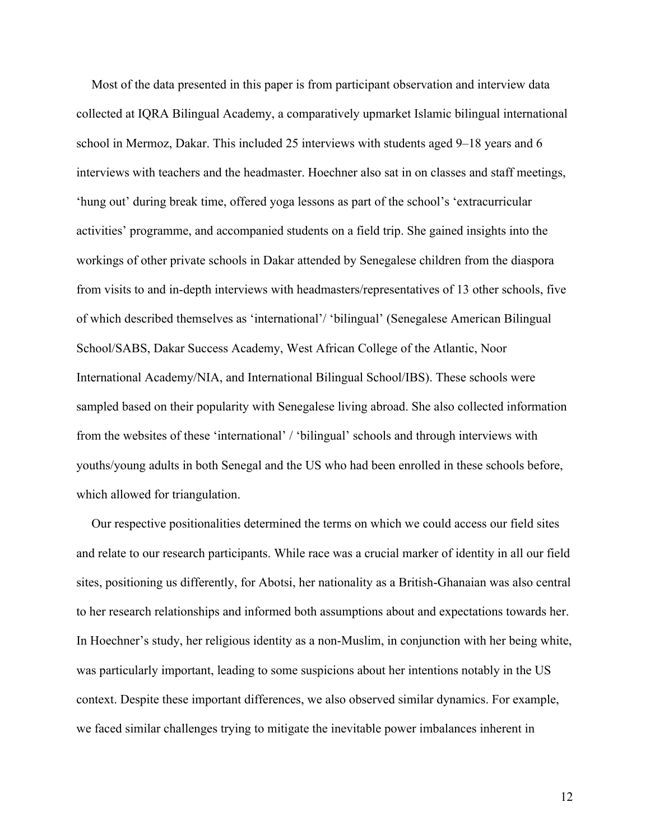Most of the data presented in this paper is from participant observation and interview data collected at IQRA Bilingual Academy, a comparatively upmarket Islamic bilingual international school in Mermoz, Dakar. This included 25 interviews with students aged 9–18 years and 6 interviews with teachers and the headmaster. Hoechner also sat in on classes and staff meetings, 'hung out' during break time, offered yoga lessons as part of the school's 'extracurricular activities' programme, and accompanied students on a field trip. She gained insights into the workings of other private schools in Dakar attended by Senegalese children from the diaspora from visits to and in-depth interviews with headmasters/representatives of 13 other schools, five of which described themselves as 'international'/ 'bilingual' (Senegalese American Bilingual School/SABS, Dakar Success Academy, West African College of the Atlantic, Noor International Academy/NIA, and International Bilingual School/IBS). These schools were sampled based on their popularity with Senegalese living abroad. She also collected information from the websites of these 'international' / 'bilingual' schools and through interviews with youths/young adults in both Senegal and the US who had been enrolled in these schools before, which allowed for triangulation.

Our respective positionalities determined the terms on which we could access our field sites and relate to our research participants. While race was a crucial marker of identity in all our field sites, positioning us differently, for Abotsi, her nationality as a British-Ghanaian was also central to her research relationships and informed both assumptions about and expectations towards her. In Hoechner's study, her religious identity as a non-Muslim, in conjunction with her being white, was particularly important, leading to some suspicions about her intentions notably in the US context. Despite these important differences, we also observed similar dynamics. For example, we faced similar challenges trying to mitigate the inevitable power imbalances inherent in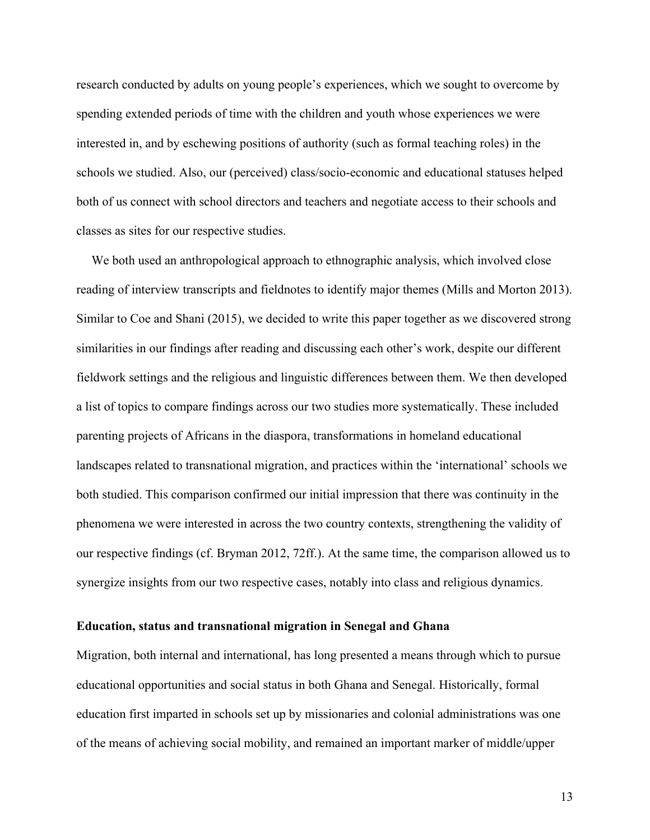research conducted by adults on young people's experiences, which we sought to overcome by spending extended periods of time with the children and youth whose experiences we were interested in, and by eschewing positions of authority (such as formal teaching roles) in the schools we studied. Also, our (perceived) class/socio-economic and educational statuses helped both of us connect with school directors and teachers and negotiate access to their schools and classes as sites for our respective studies.

We both used an anthropological approach to ethnographic analysis, which involved close reading of interview transcripts and fieldnotes to identify major themes (Mills and Morton 2013). Similar to Coe and Shani (2015), we decided to write this paper together as we discovered strong similarities in our findings after reading and discussing each other's work, despite our different fieldwork settings and the religious and linguistic differences between them. We then developed a list of topics to compare findings across our two studies more systematically. These included parenting projects of Africans in the diaspora, transformations in homeland educational landscapes related to transnational migration, and practices within the 'international' schools we both studied. This comparison confirmed our initial impression that there was continuity in the phenomena we were interested in across the two country contexts, strengthening the validity of our respective findings (cf. Bryman 2012, 72ff.). At the same time, the comparison allowed us to synergize insights from our two respective cases, notably into class and religious dynamics.

#### **Education, status and transnational migration in Senegal and Ghana**

Migration, both internal and international, has long presented a means through which to pursue educational opportunities and social status in both Ghana and Senegal. Historically, formal education first imparted in schools set up by missionaries and colonial administrations was one of the means of achieving social mobility, and remained an important marker of middle/upper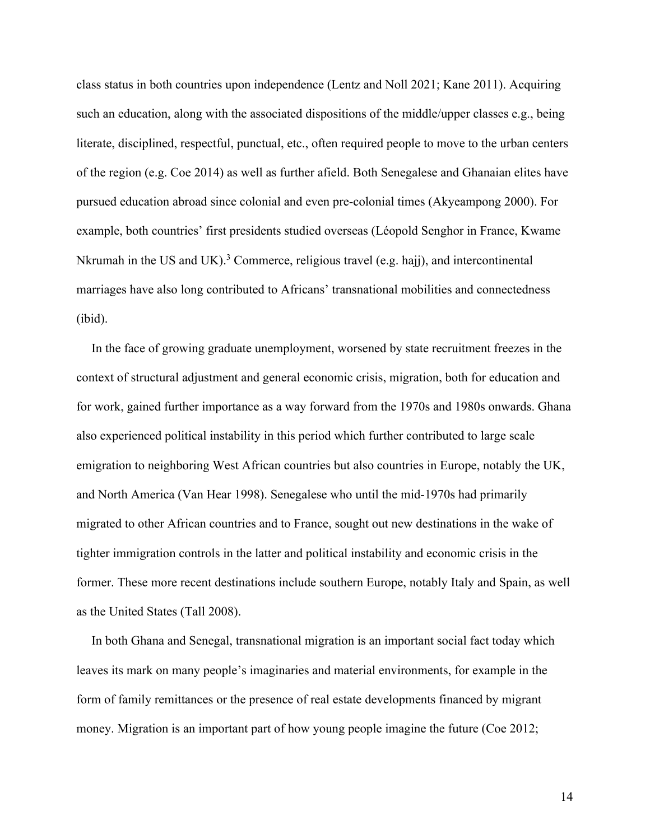class status in both countries upon independence (Lentz and Noll 2021; Kane 2011). Acquiring such an education, along with the associated dispositions of the middle/upper classes e.g., being literate, disciplined, respectful, punctual, etc., often required people to move to the urban centers of the region (e.g. Coe 2014) as well as further afield. Both Senegalese and Ghanaian elites have pursued education abroad since colonial and even pre-colonial times (Akyeampong 2000). For example, both countries' first presidents studied overseas (Léopold Senghor in France, Kwame Nkrumah in the US and UK).<sup>3</sup> Commerce, religious travel (e.g. hajj), and intercontinental marriages have also long contributed to Africans' transnational mobilities and connectedness (ibid).

In the face of growing graduate unemployment, worsened by state recruitment freezes in the context of structural adjustment and general economic crisis, migration, both for education and for work, gained further importance as a way forward from the 1970s and 1980s onwards. Ghana also experienced political instability in this period which further contributed to large scale emigration to neighboring West African countries but also countries in Europe, notably the UK, and North America (Van Hear 1998). Senegalese who until the mid-1970s had primarily migrated to other African countries and to France, sought out new destinations in the wake of tighter immigration controls in the latter and political instability and economic crisis in the former. These more recent destinations include southern Europe, notably Italy and Spain, as well as the United States (Tall 2008).

In both Ghana and Senegal, transnational migration is an important social fact today which leaves its mark on many people's imaginaries and material environments, for example in the form of family remittances or the presence of real estate developments financed by migrant money. Migration is an important part of how young people imagine the future (Coe 2012;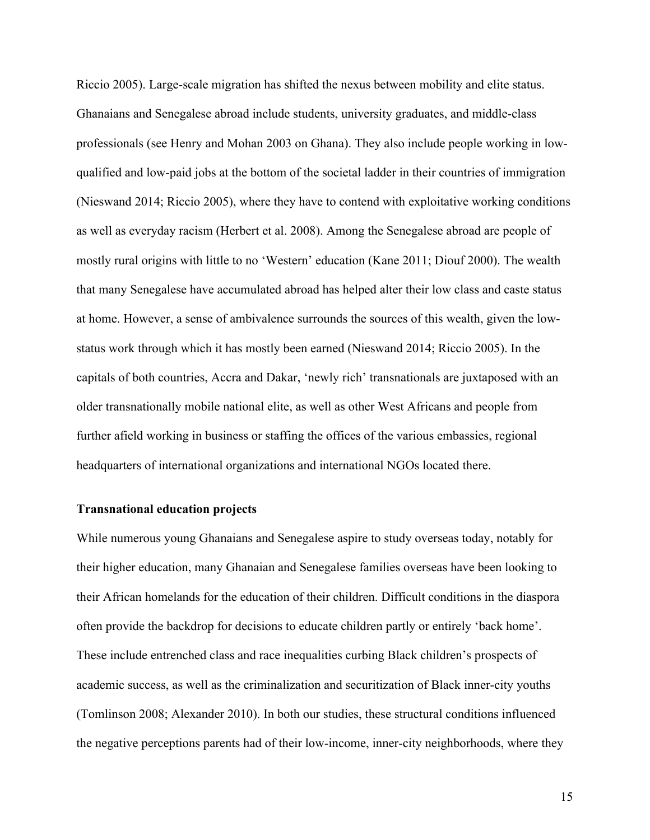Riccio 2005). Large-scale migration has shifted the nexus between mobility and elite status. Ghanaians and Senegalese abroad include students, university graduates, and middle-class professionals (see Henry and Mohan 2003 on Ghana). They also include people working in lowqualified and low-paid jobs at the bottom of the societal ladder in their countries of immigration (Nieswand 2014; Riccio 2005), where they have to contend with exploitative working conditions as well as everyday racism (Herbert et al. 2008). Among the Senegalese abroad are people of mostly rural origins with little to no 'Western' education (Kane 2011; Diouf 2000). The wealth that many Senegalese have accumulated abroad has helped alter their low class and caste status at home. However, a sense of ambivalence surrounds the sources of this wealth, given the lowstatus work through which it has mostly been earned (Nieswand 2014; Riccio 2005). In the capitals of both countries, Accra and Dakar, 'newly rich' transnationals are juxtaposed with an older transnationally mobile national elite, as well as other West Africans and people from further afield working in business or staffing the offices of the various embassies, regional headquarters of international organizations and international NGOs located there.

# **Transnational education projects**

While numerous young Ghanaians and Senegalese aspire to study overseas today, notably for their higher education, many Ghanaian and Senegalese families overseas have been looking to their African homelands for the education of their children. Difficult conditions in the diaspora often provide the backdrop for decisions to educate children partly or entirely 'back home'. These include entrenched class and race inequalities curbing Black children's prospects of academic success, as well as the criminalization and securitization of Black inner-city youths (Tomlinson 2008; Alexander 2010). In both our studies, these structural conditions influenced the negative perceptions parents had of their low-income, inner-city neighborhoods, where they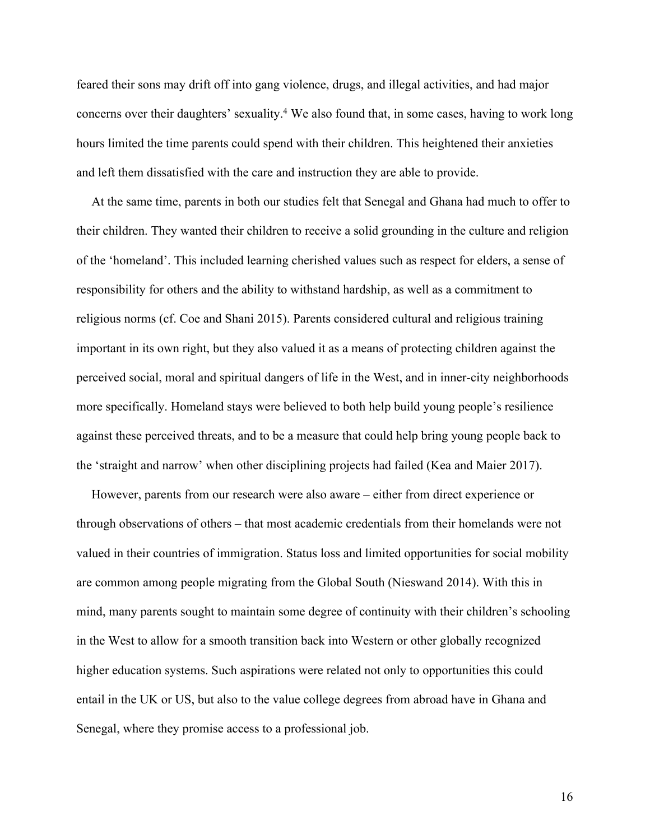feared their sons may drift off into gang violence, drugs, and illegal activities, and had major concerns over their daughters' sexuality.4 We also found that, in some cases, having to work long hours limited the time parents could spend with their children. This heightened their anxieties and left them dissatisfied with the care and instruction they are able to provide.

At the same time, parents in both our studies felt that Senegal and Ghana had much to offer to their children. They wanted their children to receive a solid grounding in the culture and religion of the 'homeland'. This included learning cherished values such as respect for elders, a sense of responsibility for others and the ability to withstand hardship, as well as a commitment to religious norms (cf. Coe and Shani 2015). Parents considered cultural and religious training important in its own right, but they also valued it as a means of protecting children against the perceived social, moral and spiritual dangers of life in the West, and in inner-city neighborhoods more specifically. Homeland stays were believed to both help build young people's resilience against these perceived threats, and to be a measure that could help bring young people back to the 'straight and narrow' when other disciplining projects had failed (Kea and Maier 2017).

However, parents from our research were also aware – either from direct experience or through observations of others – that most academic credentials from their homelands were not valued in their countries of immigration. Status loss and limited opportunities for social mobility are common among people migrating from the Global South (Nieswand 2014). With this in mind, many parents sought to maintain some degree of continuity with their children's schooling in the West to allow for a smooth transition back into Western or other globally recognized higher education systems. Such aspirations were related not only to opportunities this could entail in the UK or US, but also to the value college degrees from abroad have in Ghana and Senegal, where they promise access to a professional job.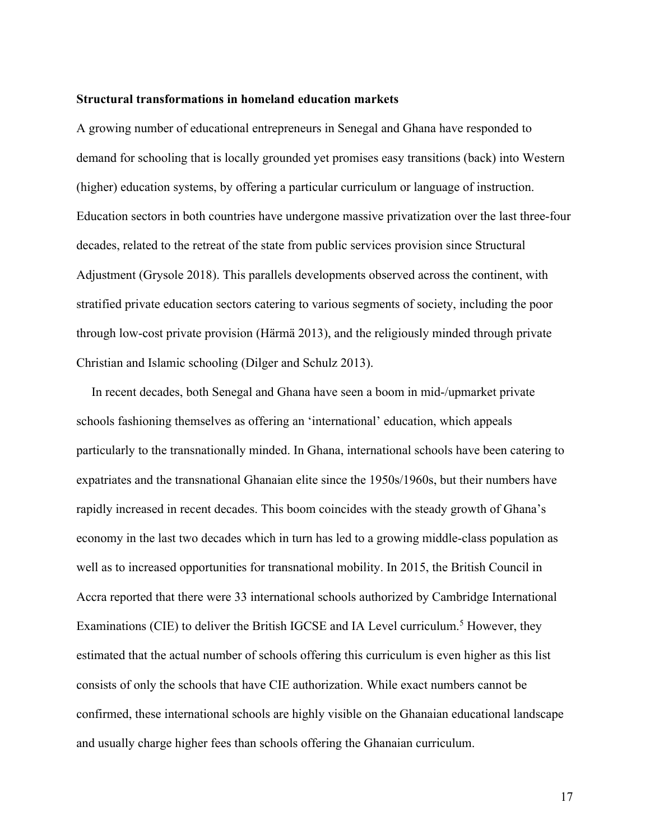# **Structural transformations in homeland education markets**

A growing number of educational entrepreneurs in Senegal and Ghana have responded to demand for schooling that is locally grounded yet promises easy transitions (back) into Western (higher) education systems, by offering a particular curriculum or language of instruction. Education sectors in both countries have undergone massive privatization over the last three-four decades, related to the retreat of the state from public services provision since Structural Adjustment (Grysole 2018). This parallels developments observed across the continent, with stratified private education sectors catering to various segments of society, including the poor through low-cost private provision (Härmä 2013), and the religiously minded through private Christian and Islamic schooling (Dilger and Schulz 2013).

In recent decades, both Senegal and Ghana have seen a boom in mid-/upmarket private schools fashioning themselves as offering an 'international' education, which appeals particularly to the transnationally minded. In Ghana, international schools have been catering to expatriates and the transnational Ghanaian elite since the 1950s/1960s, but their numbers have rapidly increased in recent decades. This boom coincides with the steady growth of Ghana's economy in the last two decades which in turn has led to a growing middle-class population as well as to increased opportunities for transnational mobility. In 2015, the British Council in Accra reported that there were 33 international schools authorized by Cambridge International Examinations (CIE) to deliver the British IGCSE and IA Level curriculum.<sup>5</sup> However, they estimated that the actual number of schools offering this curriculum is even higher as this list consists of only the schools that have CIE authorization. While exact numbers cannot be confirmed, these international schools are highly visible on the Ghanaian educational landscape and usually charge higher fees than schools offering the Ghanaian curriculum.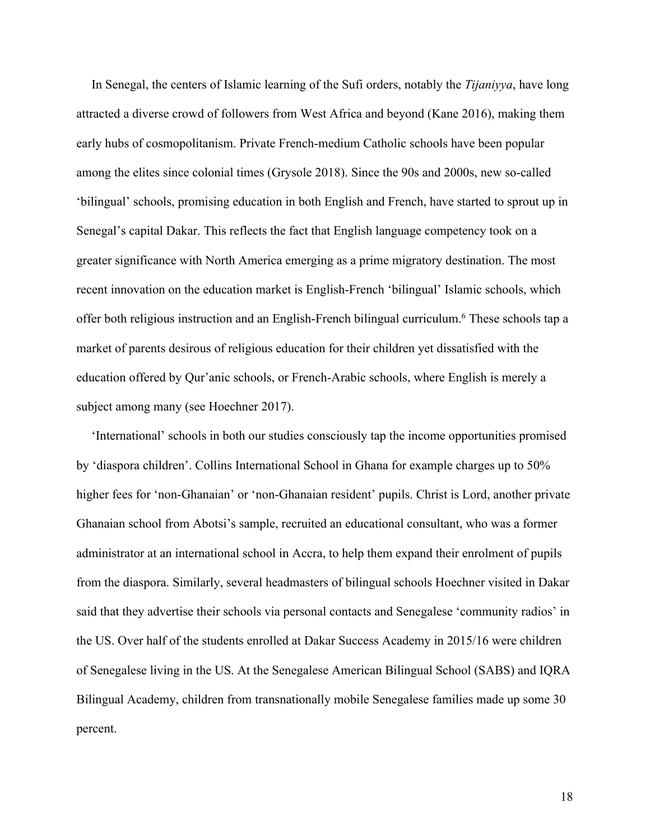In Senegal, the centers of Islamic learning of the Sufi orders, notably the *Tijaniyya*, have long attracted a diverse crowd of followers from West Africa and beyond (Kane 2016), making them early hubs of cosmopolitanism. Private French-medium Catholic schools have been popular among the elites since colonial times (Grysole 2018). Since the 90s and 2000s, new so-called 'bilingual' schools, promising education in both English and French, have started to sprout up in Senegal's capital Dakar. This reflects the fact that English language competency took on a greater significance with North America emerging as a prime migratory destination. The most recent innovation on the education market is English-French 'bilingual' Islamic schools, which offer both religious instruction and an English-French bilingual curriculum.<sup>6</sup> These schools tap a market of parents desirous of religious education for their children yet dissatisfied with the education offered by Qur'anic schools, or French-Arabic schools, where English is merely a subject among many (see Hoechner 2017).

'International' schools in both our studies consciously tap the income opportunities promised by 'diaspora children'. Collins International School in Ghana for example charges up to 50% higher fees for 'non-Ghanaian' or 'non-Ghanaian resident' pupils. Christ is Lord, another private Ghanaian school from Abotsi's sample, recruited an educational consultant, who was a former administrator at an international school in Accra, to help them expand their enrolment of pupils from the diaspora. Similarly, several headmasters of bilingual schools Hoechner visited in Dakar said that they advertise their schools via personal contacts and Senegalese 'community radios' in the US. Over half of the students enrolled at Dakar Success Academy in 2015/16 were children of Senegalese living in the US. At the Senegalese American Bilingual School (SABS) and IQRA Bilingual Academy, children from transnationally mobile Senegalese families made up some 30 percent.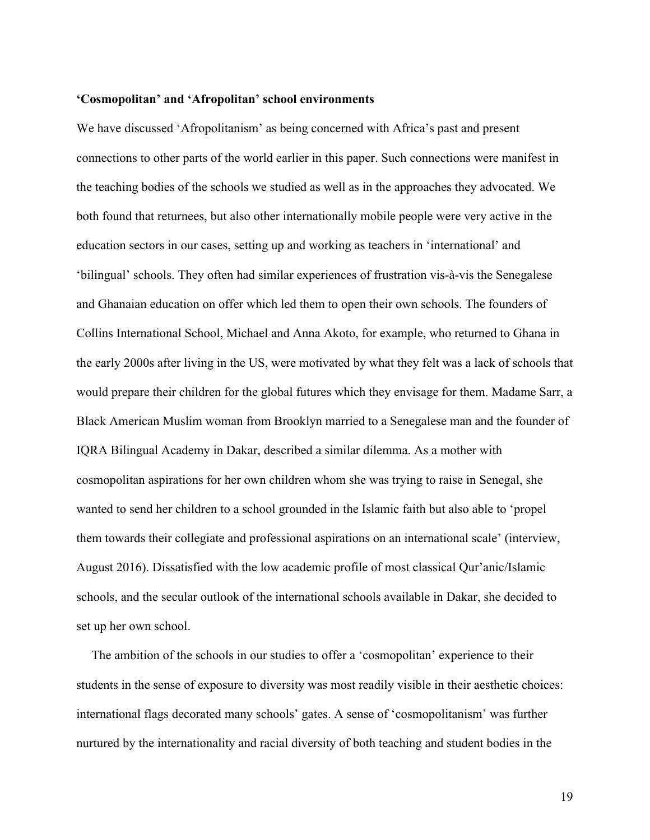#### **'Cosmopolitan' and 'Afropolitan' school environments**

We have discussed 'Afropolitanism' as being concerned with Africa's past and present connections to other parts of the world earlier in this paper. Such connections were manifest in the teaching bodies of the schools we studied as well as in the approaches they advocated. We both found that returnees, but also other internationally mobile people were very active in the education sectors in our cases, setting up and working as teachers in 'international' and 'bilingual' schools. They often had similar experiences of frustration vis-à-vis the Senegalese and Ghanaian education on offer which led them to open their own schools. The founders of Collins International School, Michael and Anna Akoto, for example, who returned to Ghana in the early 2000s after living in the US, were motivated by what they felt was a lack of schools that would prepare their children for the global futures which they envisage for them. Madame Sarr, a Black American Muslim woman from Brooklyn married to a Senegalese man and the founder of IQRA Bilingual Academy in Dakar, described a similar dilemma. As a mother with cosmopolitan aspirations for her own children whom she was trying to raise in Senegal, she wanted to send her children to a school grounded in the Islamic faith but also able to 'propel them towards their collegiate and professional aspirations on an international scale' (interview, August 2016). Dissatisfied with the low academic profile of most classical Qur'anic/Islamic schools, and the secular outlook of the international schools available in Dakar, she decided to set up her own school.

The ambition of the schools in our studies to offer a 'cosmopolitan' experience to their students in the sense of exposure to diversity was most readily visible in their aesthetic choices: international flags decorated many schools' gates. A sense of 'cosmopolitanism' was further nurtured by the internationality and racial diversity of both teaching and student bodies in the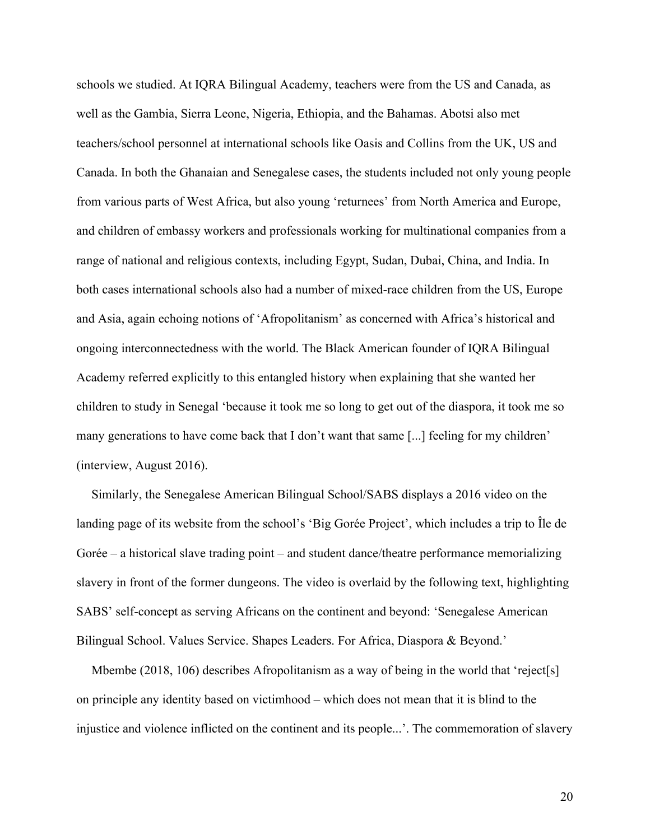schools we studied. At IQRA Bilingual Academy, teachers were from the US and Canada, as well as the Gambia, Sierra Leone, Nigeria, Ethiopia, and the Bahamas. Abotsi also met teachers/school personnel at international schools like Oasis and Collins from the UK, US and Canada. In both the Ghanaian and Senegalese cases, the students included not only young people from various parts of West Africa, but also young 'returnees' from North America and Europe, and children of embassy workers and professionals working for multinational companies from a range of national and religious contexts, including Egypt, Sudan, Dubai, China, and India. In both cases international schools also had a number of mixed-race children from the US, Europe and Asia, again echoing notions of 'Afropolitanism' as concerned with Africa's historical and ongoing interconnectedness with the world. The Black American founder of IQRA Bilingual Academy referred explicitly to this entangled history when explaining that she wanted her children to study in Senegal 'because it took me so long to get out of the diaspora, it took me so many generations to have come back that I don't want that same [...] feeling for my children' (interview, August 2016).

Similarly, the Senegalese American Bilingual School/SABS displays a 2016 video on the landing page of its website from the school's 'Big Gorée Project', which includes a trip to Île de Gorée – a historical slave trading point – and student dance/theatre performance memorializing slavery in front of the former dungeons. The video is overlaid by the following text, highlighting SABS' self-concept as serving Africans on the continent and beyond: 'Senegalese American Bilingual School. Values Service. Shapes Leaders. For Africa, Diaspora & Beyond.'

Mbembe (2018, 106) describes Afropolitanism as a way of being in the world that 'reject[s] on principle any identity based on victimhood – which does not mean that it is blind to the injustice and violence inflicted on the continent and its people...'. The commemoration of slavery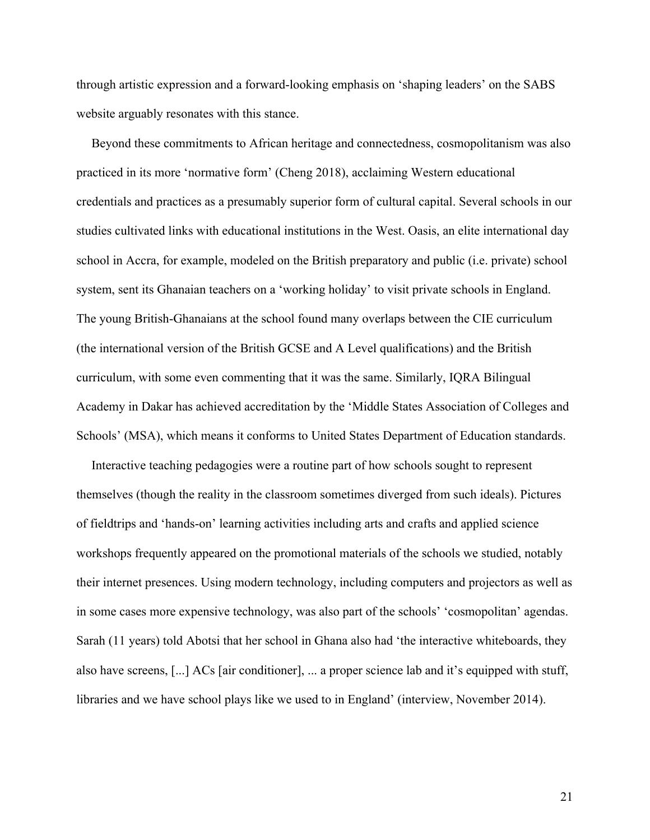through artistic expression and a forward-looking emphasis on 'shaping leaders' on the SABS website arguably resonates with this stance.

Beyond these commitments to African heritage and connectedness, cosmopolitanism was also practiced in its more 'normative form' (Cheng 2018), acclaiming Western educational credentials and practices as a presumably superior form of cultural capital. Several schools in our studies cultivated links with educational institutions in the West. Oasis, an elite international day school in Accra, for example, modeled on the British preparatory and public (i.e. private) school system, sent its Ghanaian teachers on a 'working holiday' to visit private schools in England. The young British-Ghanaians at the school found many overlaps between the CIE curriculum (the international version of the British GCSE and A Level qualifications) and the British curriculum, with some even commenting that it was the same. Similarly, IQRA Bilingual Academy in Dakar has achieved accreditation by the 'Middle States Association of Colleges and Schools' (MSA), which means it conforms to United States Department of Education standards.

Interactive teaching pedagogies were a routine part of how schools sought to represent themselves (though the reality in the classroom sometimes diverged from such ideals). Pictures of fieldtrips and 'hands-on' learning activities including arts and crafts and applied science workshops frequently appeared on the promotional materials of the schools we studied, notably their internet presences. Using modern technology, including computers and projectors as well as in some cases more expensive technology, was also part of the schools' 'cosmopolitan' agendas. Sarah (11 years) told Abotsi that her school in Ghana also had 'the interactive whiteboards, they also have screens, [...] ACs [air conditioner], ... a proper science lab and it's equipped with stuff, libraries and we have school plays like we used to in England' (interview, November 2014).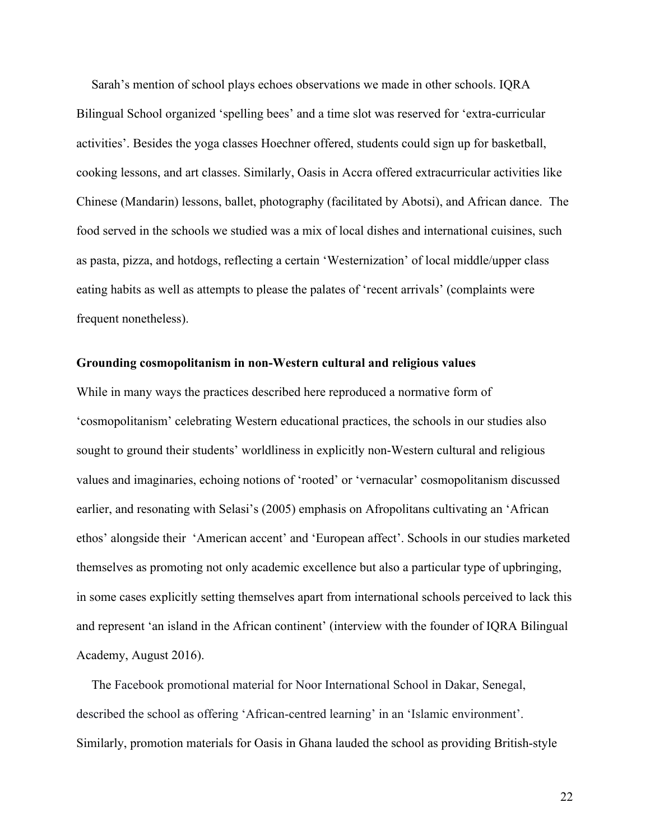Sarah's mention of school plays echoes observations we made in other schools. IQRA Bilingual School organized 'spelling bees' and a time slot was reserved for 'extra-curricular activities'. Besides the yoga classes Hoechner offered, students could sign up for basketball, cooking lessons, and art classes. Similarly, Oasis in Accra offered extracurricular activities like Chinese (Mandarin) lessons, ballet, photography (facilitated by Abotsi), and African dance. The food served in the schools we studied was a mix of local dishes and international cuisines, such as pasta, pizza, and hotdogs, reflecting a certain 'Westernization' of local middle/upper class eating habits as well as attempts to please the palates of 'recent arrivals' (complaints were frequent nonetheless).

#### **Grounding cosmopolitanism in non-Western cultural and religious values**

While in many ways the practices described here reproduced a normative form of 'cosmopolitanism' celebrating Western educational practices, the schools in our studies also sought to ground their students' worldliness in explicitly non-Western cultural and religious values and imaginaries, echoing notions of 'rooted' or 'vernacular' cosmopolitanism discussed earlier, and resonating with Selasi's (2005) emphasis on Afropolitans cultivating an 'African ethos' alongside their 'American accent' and 'European affect'. Schools in our studies marketed themselves as promoting not only academic excellence but also a particular type of upbringing, in some cases explicitly setting themselves apart from international schools perceived to lack this and represent 'an island in the African continent' (interview with the founder of IQRA Bilingual Academy, August 2016).

The Facebook promotional material for Noor International School in Dakar, Senegal, described the school as offering 'African-centred learning' in an 'Islamic environment'. Similarly, promotion materials for Oasis in Ghana lauded the school as providing British-style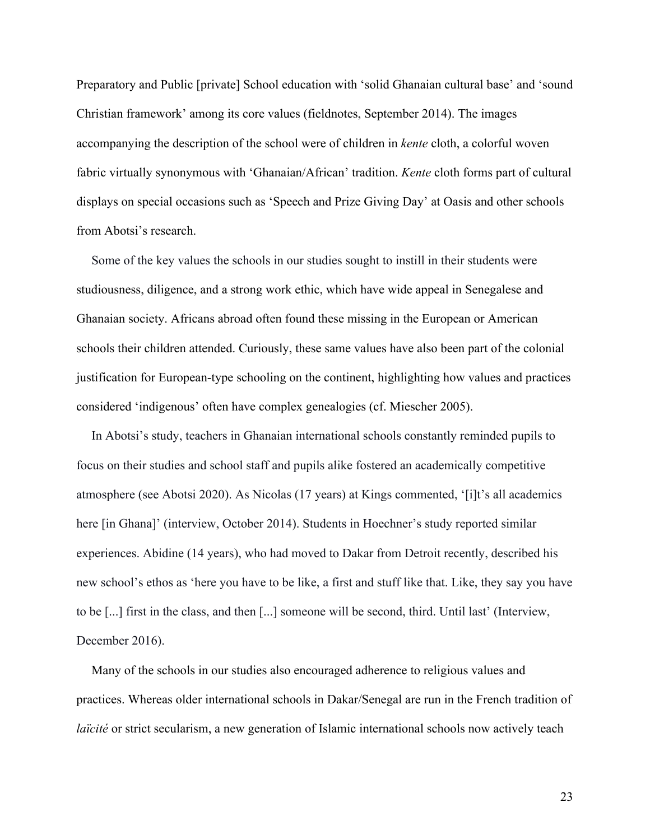Preparatory and Public [private] School education with 'solid Ghanaian cultural base' and 'sound Christian framework' among its core values (fieldnotes, September 2014). The images accompanying the description of the school were of children in *kente* cloth, a colorful woven fabric virtually synonymous with 'Ghanaian/African' tradition. *Kente* cloth forms part of cultural displays on special occasions such as 'Speech and Prize Giving Day' at Oasis and other schools from Abotsi's research.

Some of the key values the schools in our studies sought to instill in their students were studiousness, diligence, and a strong work ethic, which have wide appeal in Senegalese and Ghanaian society. Africans abroad often found these missing in the European or American schools their children attended. Curiously, these same values have also been part of the colonial justification for European-type schooling on the continent, highlighting how values and practices considered 'indigenous' often have complex genealogies (cf. Miescher 2005).

In Abotsi's study, teachers in Ghanaian international schools constantly reminded pupils to focus on their studies and school staff and pupils alike fostered an academically competitive atmosphere (see Abotsi 2020). As Nicolas (17 years) at Kings commented, '[i]t's all academics here [in Ghana]' (interview, October 2014). Students in Hoechner's study reported similar experiences. Abidine (14 years), who had moved to Dakar from Detroit recently, described his new school's ethos as 'here you have to be like, a first and stuff like that. Like, they say you have to be [...] first in the class, and then [...] someone will be second, third. Until last' (Interview, December 2016).

Many of the schools in our studies also encouraged adherence to religious values and practices. Whereas older international schools in Dakar/Senegal are run in the French tradition of *laïcité* or strict secularism, a new generation of Islamic international schools now actively teach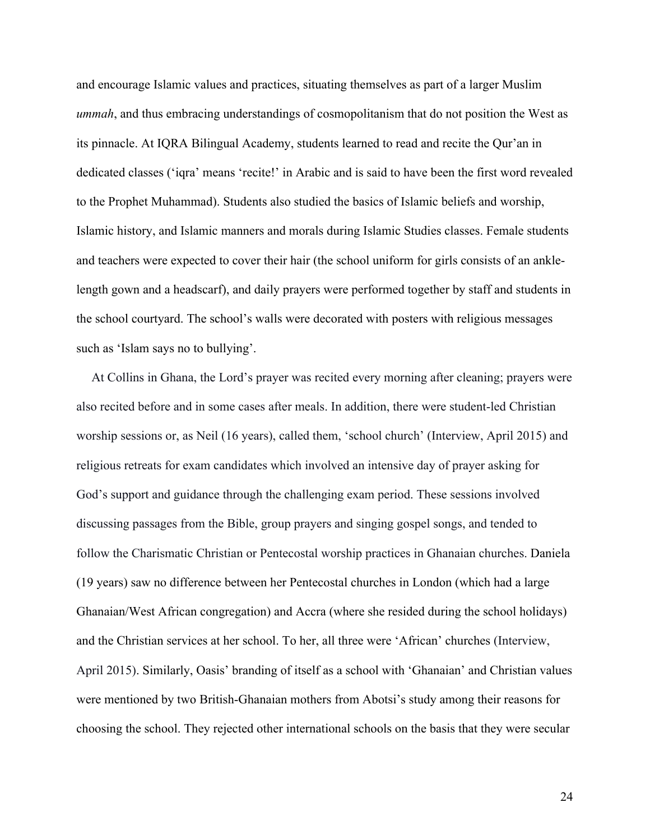and encourage Islamic values and practices, situating themselves as part of a larger Muslim *ummah*, and thus embracing understandings of cosmopolitanism that do not position the West as its pinnacle. At IQRA Bilingual Academy, students learned to read and recite the Qur'an in dedicated classes ('iqra' means 'recite!' in Arabic and is said to have been the first word revealed to the Prophet Muhammad). Students also studied the basics of Islamic beliefs and worship, Islamic history, and Islamic manners and morals during Islamic Studies classes. Female students and teachers were expected to cover their hair (the school uniform for girls consists of an anklelength gown and a headscarf), and daily prayers were performed together by staff and students in the school courtyard. The school's walls were decorated with posters with religious messages such as 'Islam says no to bullying'.

At Collins in Ghana, the Lord's prayer was recited every morning after cleaning; prayers were also recited before and in some cases after meals. In addition, there were student-led Christian worship sessions or, as Neil (16 years), called them, 'school church' (Interview, April 2015) and religious retreats for exam candidates which involved an intensive day of prayer asking for God's support and guidance through the challenging exam period. These sessions involved discussing passages from the Bible, group prayers and singing gospel songs, and tended to follow the Charismatic Christian or Pentecostal worship practices in Ghanaian churches. Daniela (19 years) saw no difference between her Pentecostal churches in London (which had a large Ghanaian/West African congregation) and Accra (where she resided during the school holidays) and the Christian services at her school. To her, all three were 'African' churches (Interview, April 2015). Similarly, Oasis' branding of itself as a school with 'Ghanaian' and Christian values were mentioned by two British-Ghanaian mothers from Abotsi's study among their reasons for choosing the school. They rejected other international schools on the basis that they were secular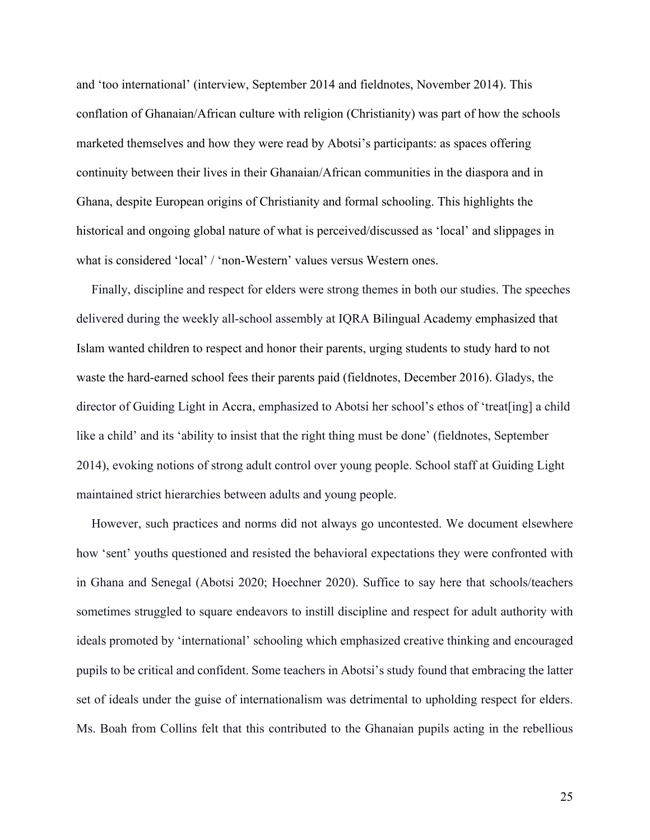and 'too international' (interview, September 2014 and fieldnotes, November 2014). This conflation of Ghanaian/African culture with religion (Christianity) was part of how the schools marketed themselves and how they were read by Abotsi's participants: as spaces offering continuity between their lives in their Ghanaian/African communities in the diaspora and in Ghana, despite European origins of Christianity and formal schooling. This highlights the historical and ongoing global nature of what is perceived/discussed as 'local' and slippages in what is considered 'local' / 'non-Western' values versus Western ones.

Finally, discipline and respect for elders were strong themes in both our studies. The speeches delivered during the weekly all-school assembly at IQRA Bilingual Academy emphasized that Islam wanted children to respect and honor their parents, urging students to study hard to not waste the hard-earned school fees their parents paid (fieldnotes, December 2016). Gladys, the director of Guiding Light in Accra, emphasized to Abotsi her school's ethos of 'treat[ing] a child like a child' and its 'ability to insist that the right thing must be done' (fieldnotes, September 2014), evoking notions of strong adult control over young people. School staff at Guiding Light maintained strict hierarchies between adults and young people.

However, such practices and norms did not always go uncontested. We document elsewhere how 'sent' youths questioned and resisted the behavioral expectations they were confronted with in Ghana and Senegal (Abotsi 2020; Hoechner 2020). Suffice to say here that schools/teachers sometimes struggled to square endeavors to instill discipline and respect for adult authority with ideals promoted by 'international' schooling which emphasized creative thinking and encouraged pupils to be critical and confident. Some teachers in Abotsi's study found that embracing the latter set of ideals under the guise of internationalism was detrimental to upholding respect for elders. Ms. Boah from Collins felt that this contributed to the Ghanaian pupils acting in the rebellious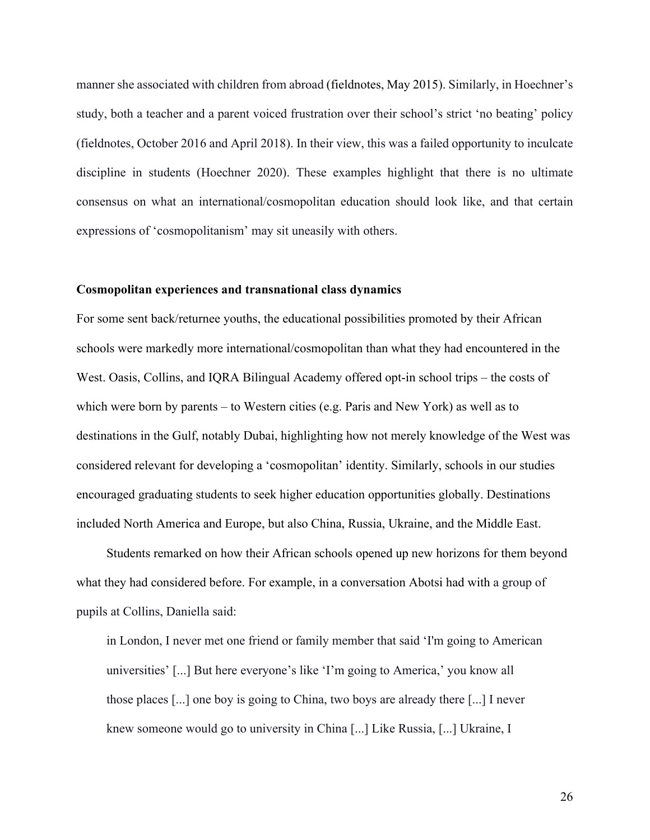manner she associated with children from abroad (fieldnotes, May 2015). Similarly, in Hoechner's study, both a teacher and a parent voiced frustration over their school's strict 'no beating' policy (fieldnotes, October 2016 and April 2018). In their view, this was a failed opportunity to inculcate discipline in students (Hoechner 2020). These examples highlight that there is no ultimate consensus on what an international/cosmopolitan education should look like, and that certain expressions of 'cosmopolitanism' may sit uneasily with others.

#### **Cosmopolitan experiences and transnational class dynamics**

For some sent back/returnee youths, the educational possibilities promoted by their African schools were markedly more international/cosmopolitan than what they had encountered in the West. Oasis, Collins, and IQRA Bilingual Academy offered opt-in school trips – the costs of which were born by parents – to Western cities (e.g. Paris and New York) as well as to destinations in the Gulf, notably Dubai, highlighting how not merely knowledge of the West was considered relevant for developing a 'cosmopolitan' identity. Similarly, schools in our studies encouraged graduating students to seek higher education opportunities globally. Destinations included North America and Europe, but also China, Russia, Ukraine, and the Middle East.

Students remarked on how their African schools opened up new horizons for them beyond what they had considered before. For example, in a conversation Abotsi had with a group of pupils at Collins, Daniella said:

in London, I never met one friend or family member that said 'I'm going to American universities' [...] But here everyone's like 'I'm going to America,' you know all those places [...] one boy is going to China, two boys are already there [...] I never knew someone would go to university in China [...] Like Russia, [...] Ukraine, I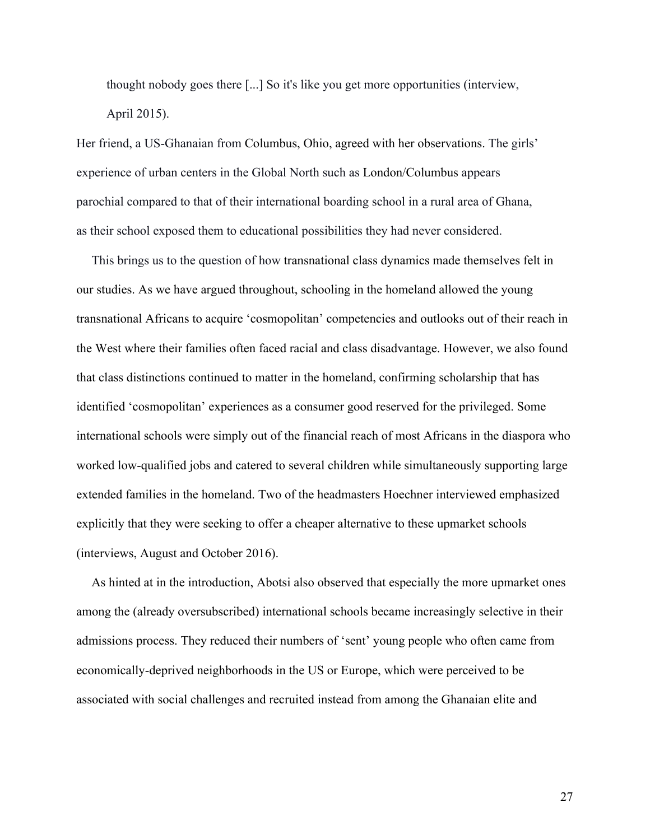thought nobody goes there [...] So it's like you get more opportunities (interview, April 2015).

Her friend, a US-Ghanaian from Columbus, Ohio, agreed with her observations. The girls' experience of urban centers in the Global North such as London/Columbus appears parochial compared to that of their international boarding school in a rural area of Ghana, as their school exposed them to educational possibilities they had never considered.

This brings us to the question of how transnational class dynamics made themselves felt in our studies. As we have argued throughout, schooling in the homeland allowed the young transnational Africans to acquire 'cosmopolitan' competencies and outlooks out of their reach in the West where their families often faced racial and class disadvantage. However, we also found that class distinctions continued to matter in the homeland, confirming scholarship that has identified 'cosmopolitan' experiences as a consumer good reserved for the privileged. Some international schools were simply out of the financial reach of most Africans in the diaspora who worked low-qualified jobs and catered to several children while simultaneously supporting large extended families in the homeland. Two of the headmasters Hoechner interviewed emphasized explicitly that they were seeking to offer a cheaper alternative to these upmarket schools (interviews, August and October 2016).

As hinted at in the introduction, Abotsi also observed that especially the more upmarket ones among the (already oversubscribed) international schools became increasingly selective in their admissions process. They reduced their numbers of 'sent' young people who often came from economically-deprived neighborhoods in the US or Europe, which were perceived to be associated with social challenges and recruited instead from among the Ghanaian elite and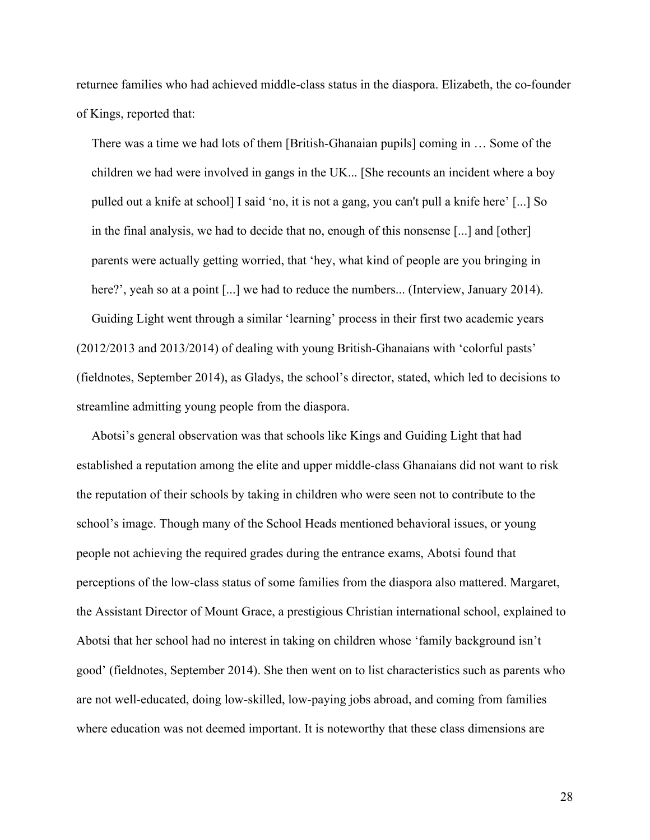returnee families who had achieved middle-class status in the diaspora. Elizabeth, the co-founder of Kings, reported that:

There was a time we had lots of them [British-Ghanaian pupils] coming in … Some of the children we had were involved in gangs in the UK... [She recounts an incident where a boy pulled out a knife at school] I said 'no, it is not a gang, you can't pull a knife here' [...] So in the final analysis, we had to decide that no, enough of this nonsense [...] and [other] parents were actually getting worried, that 'hey, what kind of people are you bringing in here?', yeah so at a point [...] we had to reduce the numbers... (Interview, January 2014). Guiding Light went through a similar 'learning' process in their first two academic years (2012/2013 and 2013/2014) of dealing with young British-Ghanaians with 'colorful pasts' (fieldnotes, September 2014), as Gladys, the school's director, stated, which led to decisions to

streamline admitting young people from the diaspora.

Abotsi's general observation was that schools like Kings and Guiding Light that had established a reputation among the elite and upper middle-class Ghanaians did not want to risk the reputation of their schools by taking in children who were seen not to contribute to the school's image. Though many of the School Heads mentioned behavioral issues, or young people not achieving the required grades during the entrance exams, Abotsi found that perceptions of the low-class status of some families from the diaspora also mattered. Margaret, the Assistant Director of Mount Grace, a prestigious Christian international school, explained to Abotsi that her school had no interest in taking on children whose 'family background isn't good' (fieldnotes, September 2014). She then went on to list characteristics such as parents who are not well-educated, doing low-skilled, low-paying jobs abroad, and coming from families where education was not deemed important. It is noteworthy that these class dimensions are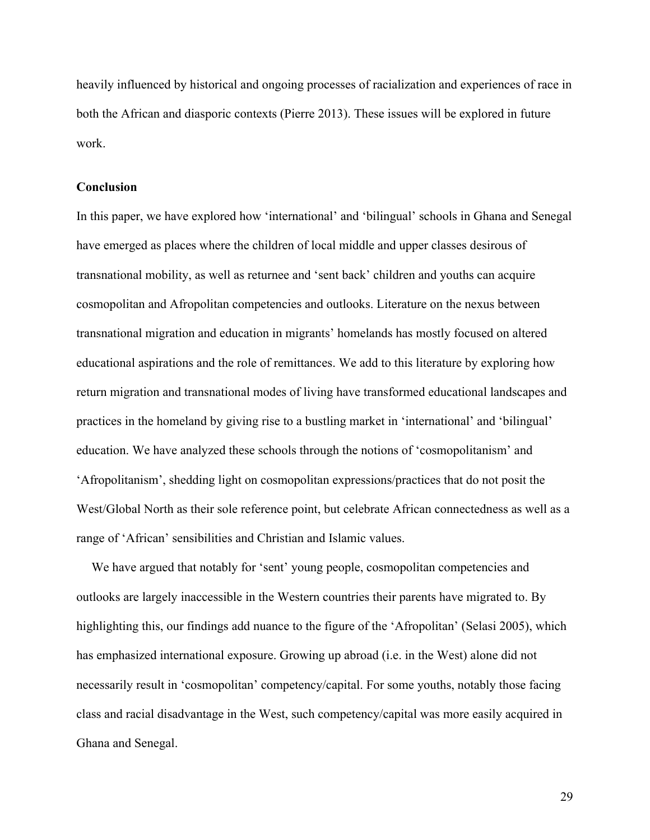heavily influenced by historical and ongoing processes of racialization and experiences of race in both the African and diasporic contexts (Pierre 2013). These issues will be explored in future work.

## **Conclusion**

In this paper, we have explored how 'international' and 'bilingual' schools in Ghana and Senegal have emerged as places where the children of local middle and upper classes desirous of transnational mobility, as well as returnee and 'sent back' children and youths can acquire cosmopolitan and Afropolitan competencies and outlooks. Literature on the nexus between transnational migration and education in migrants' homelands has mostly focused on altered educational aspirations and the role of remittances. We add to this literature by exploring how return migration and transnational modes of living have transformed educational landscapes and practices in the homeland by giving rise to a bustling market in 'international' and 'bilingual' education. We have analyzed these schools through the notions of 'cosmopolitanism' and 'Afropolitanism', shedding light on cosmopolitan expressions/practices that do not posit the West/Global North as their sole reference point, but celebrate African connectedness as well as a range of 'African' sensibilities and Christian and Islamic values.

We have argued that notably for 'sent' young people, cosmopolitan competencies and outlooks are largely inaccessible in the Western countries their parents have migrated to. By highlighting this, our findings add nuance to the figure of the 'Afropolitan' (Selasi 2005), which has emphasized international exposure. Growing up abroad (i.e. in the West) alone did not necessarily result in 'cosmopolitan' competency/capital. For some youths, notably those facing class and racial disadvantage in the West, such competency/capital was more easily acquired in Ghana and Senegal.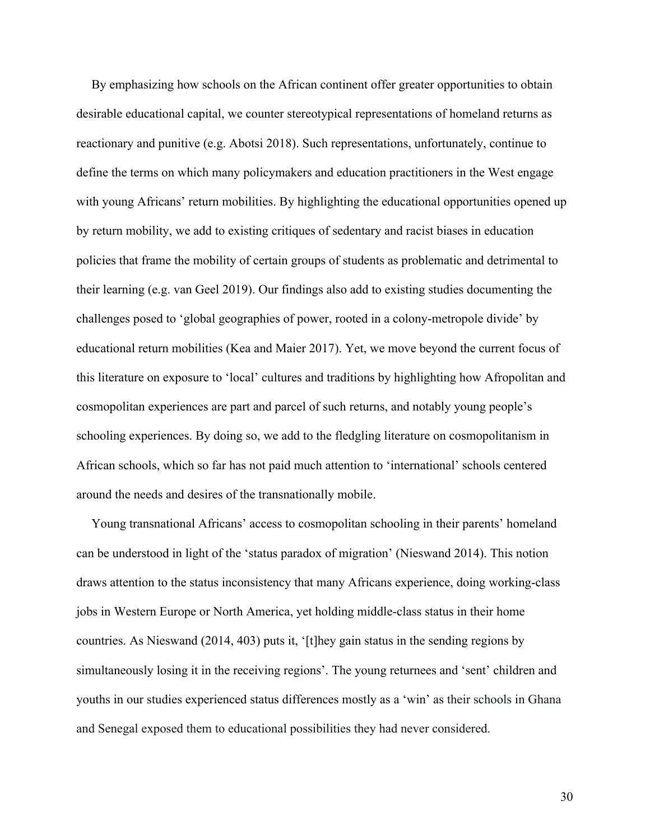By emphasizing how schools on the African continent offer greater opportunities to obtain desirable educational capital, we counter stereotypical representations of homeland returns as reactionary and punitive (e.g. Abotsi 2018). Such representations, unfortunately, continue to define the terms on which many policymakers and education practitioners in the West engage with young Africans' return mobilities. By highlighting the educational opportunities opened up by return mobility, we add to existing critiques of sedentary and racist biases in education policies that frame the mobility of certain groups of students as problematic and detrimental to their learning (e.g. van Geel 2019). Our findings also add to existing studies documenting the challenges posed to 'global geographies of power, rooted in a colony-metropole divide' by educational return mobilities (Kea and Maier 2017). Yet, we move beyond the current focus of this literature on exposure to 'local' cultures and traditions by highlighting how Afropolitan and cosmopolitan experiences are part and parcel of such returns, and notably young people's schooling experiences. By doing so, we add to the fledgling literature on cosmopolitanism in African schools, which so far has not paid much attention to 'international' schools centered around the needs and desires of the transnationally mobile.

Young transnational Africans' access to cosmopolitan schooling in their parents' homeland can be understood in light of the 'status paradox of migration' (Nieswand 2014). This notion draws attention to the status inconsistency that many Africans experience, doing working-class jobs in Western Europe or North America, yet holding middle-class status in their home countries. As Nieswand (2014, 403) puts it, '[t]hey gain status in the sending regions by simultaneously losing it in the receiving regions'. The young returnees and 'sent' children and youths in our studies experienced status differences mostly as a 'win' as their schools in Ghana and Senegal exposed them to educational possibilities they had never considered.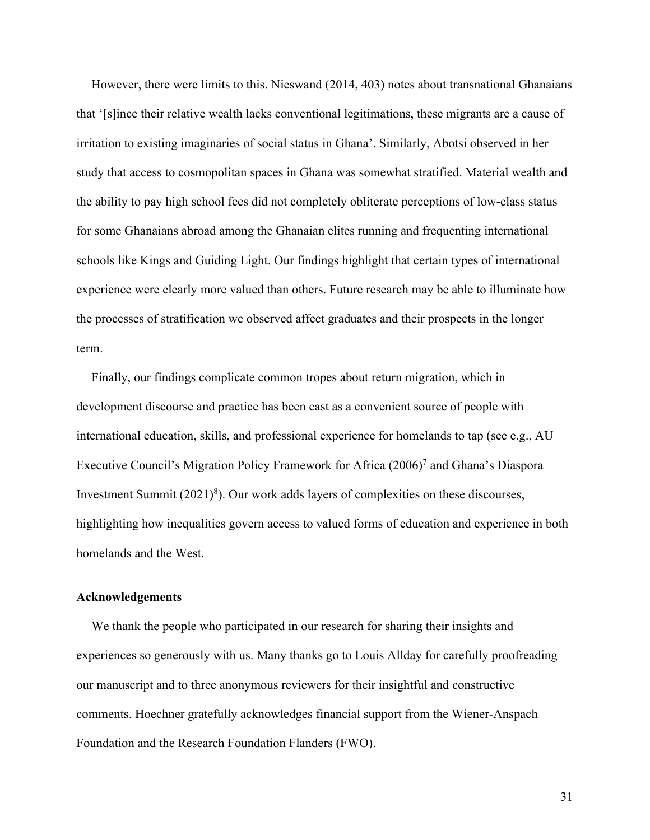However, there were limits to this. Nieswand (2014, 403) notes about transnational Ghanaians that '[s]ince their relative wealth lacks conventional legitimations, these migrants are a cause of irritation to existing imaginaries of social status in Ghana'. Similarly, Abotsi observed in her study that access to cosmopolitan spaces in Ghana was somewhat stratified. Material wealth and the ability to pay high school fees did not completely obliterate perceptions of low-class status for some Ghanaians abroad among the Ghanaian elites running and frequenting international schools like Kings and Guiding Light. Our findings highlight that certain types of international experience were clearly more valued than others. Future research may be able to illuminate how the processes of stratification we observed affect graduates and their prospects in the longer term.

Finally, our findings complicate common tropes about return migration, which in development discourse and practice has been cast as a convenient source of people with international education, skills, and professional experience for homelands to tap (see e.g., AU Executive Council's Migration Policy Framework for Africa (2006)7 and Ghana's Diaspora Investment Summit  $(2021)^8$ ). Our work adds layers of complexities on these discourses, highlighting how inequalities govern access to valued forms of education and experience in both homelands and the West.

## **Acknowledgements**

We thank the people who participated in our research for sharing their insights and experiences so generously with us. Many thanks go to Louis Allday for carefully proofreading our manuscript and to three anonymous reviewers for their insightful and constructive comments. Hoechner gratefully acknowledges financial support from the Wiener-Anspach Foundation and the Research Foundation Flanders (FWO).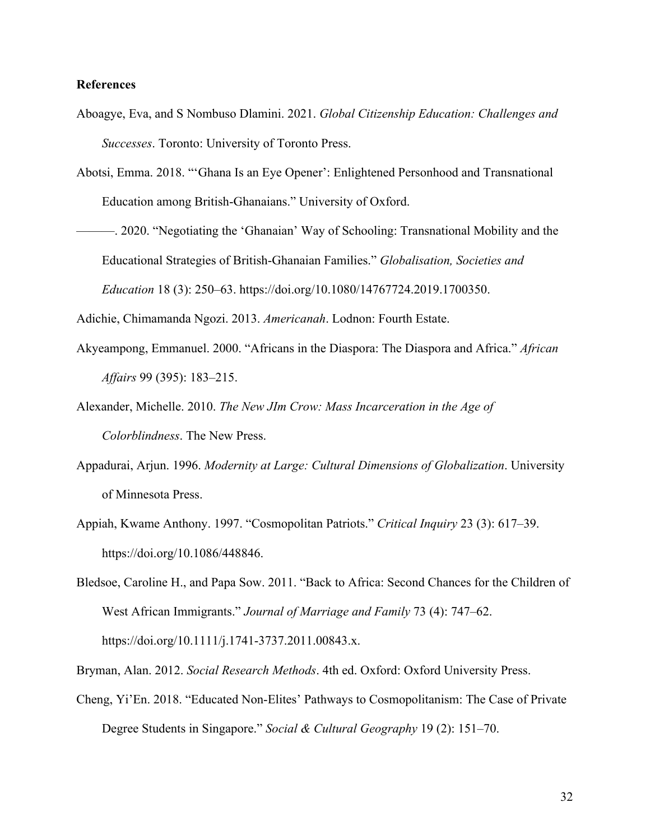# **References**

- Aboagye, Eva, and S Nombuso Dlamini. 2021. *Global Citizenship Education: Challenges and Successes*. Toronto: University of Toronto Press.
- Abotsi, Emma. 2018. "'Ghana Is an Eye Opener': Enlightened Personhood and Transnational Education among British-Ghanaians." University of Oxford.
- ———. 2020. "Negotiating the 'Ghanaian' Way of Schooling: Transnational Mobility and the Educational Strategies of British-Ghanaian Families." *Globalisation, Societies and Education* 18 (3): 250–63. https://doi.org/10.1080/14767724.2019.1700350.

Adichie, Chimamanda Ngozi. 2013. *Americanah*. Lodnon: Fourth Estate.

- Akyeampong, Emmanuel. 2000. "Africans in the Diaspora: The Diaspora and Africa." *African Affairs* 99 (395): 183–215.
- Alexander, Michelle. 2010. *The New JIm Crow: Mass Incarceration in the Age of Colorblindness*. The New Press.
- Appadurai, Arjun. 1996. *Modernity at Large: Cultural Dimensions of Globalization*. University of Minnesota Press.
- Appiah, Kwame Anthony. 1997. "Cosmopolitan Patriots." *Critical Inquiry* 23 (3): 617–39. https://doi.org/10.1086/448846.
- Bledsoe, Caroline H., and Papa Sow. 2011. "Back to Africa: Second Chances for the Children of West African Immigrants." *Journal of Marriage and Family* 73 (4): 747–62. https://doi.org/10.1111/j.1741-3737.2011.00843.x.

Bryman, Alan. 2012. *Social Research Methods*. 4th ed. Oxford: Oxford University Press.

Cheng, Yi'En. 2018. "Educated Non-Elites' Pathways to Cosmopolitanism: The Case of Private Degree Students in Singapore." *Social & Cultural Geography* 19 (2): 151–70.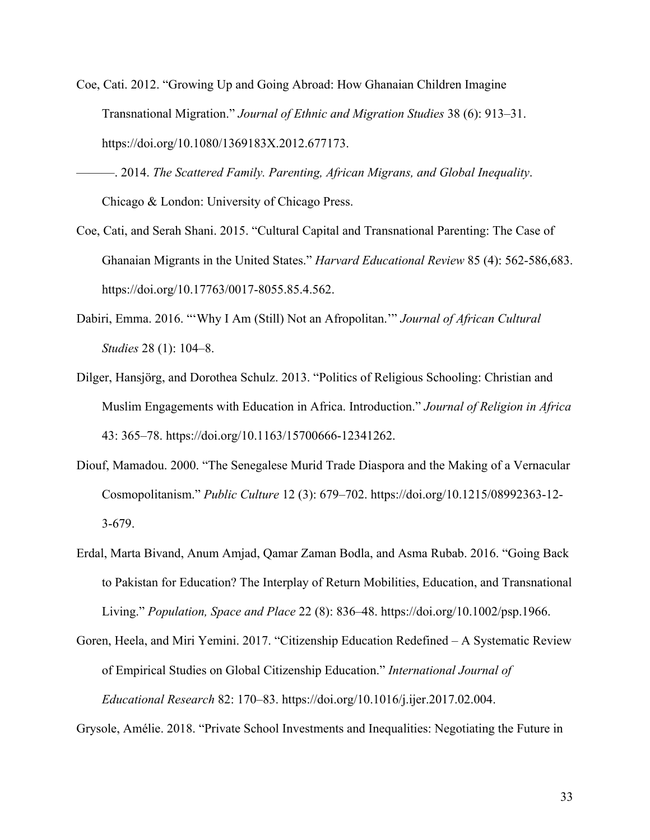- Coe, Cati. 2012. "Growing Up and Going Abroad: How Ghanaian Children Imagine Transnational Migration." *Journal of Ethnic and Migration Studies* 38 (6): 913–31. https://doi.org/10.1080/1369183X.2012.677173.
- ———. 2014. *The Scattered Family. Parenting, African Migrans, and Global Inequality*. Chicago & London: University of Chicago Press.
- Coe, Cati, and Serah Shani. 2015. "Cultural Capital and Transnational Parenting: The Case of Ghanaian Migrants in the United States." *Harvard Educational Review* 85 (4): 562-586,683. https://doi.org/10.17763/0017-8055.85.4.562.
- Dabiri, Emma. 2016. "'Why I Am (Still) Not an Afropolitan.'" *Journal of African Cultural Studies* 28 (1): 104–8.
- Dilger, Hansjörg, and Dorothea Schulz. 2013. "Politics of Religious Schooling: Christian and Muslim Engagements with Education in Africa. Introduction." *Journal of Religion in Africa* 43: 365–78. https://doi.org/10.1163/15700666-12341262.
- Diouf, Mamadou. 2000. "The Senegalese Murid Trade Diaspora and the Making of a Vernacular Cosmopolitanism." *Public Culture* 12 (3): 679–702. https://doi.org/10.1215/08992363-12- 3-679.
- Erdal, Marta Bivand, Anum Amjad, Qamar Zaman Bodla, and Asma Rubab. 2016. "Going Back to Pakistan for Education? The Interplay of Return Mobilities, Education, and Transnational Living." *Population, Space and Place* 22 (8): 836–48. https://doi.org/10.1002/psp.1966.
- Goren, Heela, and Miri Yemini. 2017. "Citizenship Education Redefined A Systematic Review of Empirical Studies on Global Citizenship Education." *International Journal of Educational Research* 82: 170–83. https://doi.org/10.1016/j.ijer.2017.02.004.

Grysole, Amélie. 2018. "Private School Investments and Inequalities: Negotiating the Future in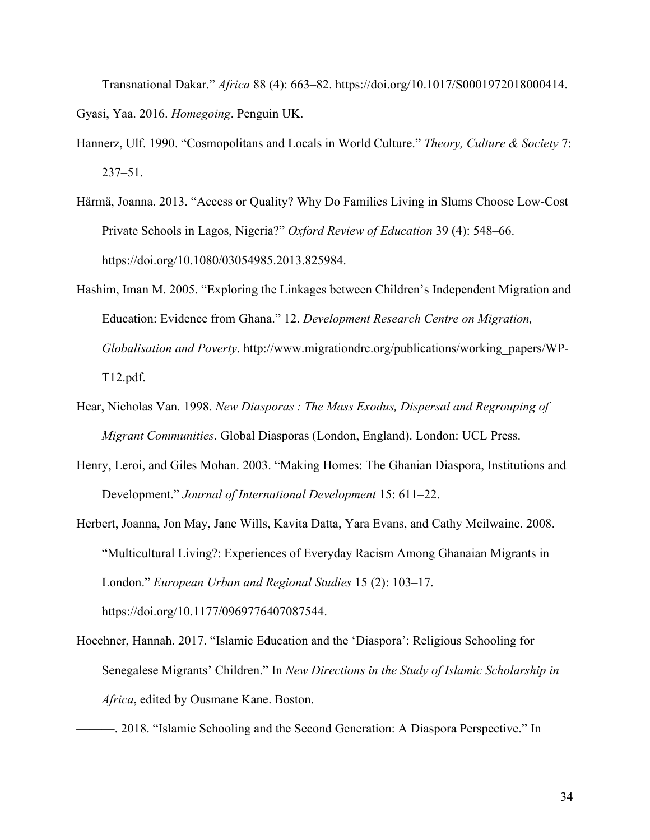Transnational Dakar." *Africa* 88 (4): 663–82. https://doi.org/10.1017/S0001972018000414. Gyasi, Yaa. 2016. *Homegoing*. Penguin UK.

- Hannerz, Ulf. 1990. "Cosmopolitans and Locals in World Culture." *Theory, Culture & Society* 7: 237–51.
- Härmä, Joanna. 2013. "Access or Quality? Why Do Families Living in Slums Choose Low-Cost Private Schools in Lagos, Nigeria?" *Oxford Review of Education* 39 (4): 548–66. https://doi.org/10.1080/03054985.2013.825984.
- Hashim, Iman M. 2005. "Exploring the Linkages between Children's Independent Migration and Education: Evidence from Ghana." 12. *Development Research Centre on Migration, Globalisation and Poverty*. http://www.migrationdrc.org/publications/working\_papers/WP-T12.pdf.
- Hear, Nicholas Van. 1998. *New Diasporas : The Mass Exodus, Dispersal and Regrouping of Migrant Communities*. Global Diasporas (London, England). London: UCL Press.
- Henry, Leroi, and Giles Mohan. 2003. "Making Homes: The Ghanian Diaspora, Institutions and Development." *Journal of International Development* 15: 611–22.
- Herbert, Joanna, Jon May, Jane Wills, Kavita Datta, Yara Evans, and Cathy Mcilwaine. 2008. "Multicultural Living?: Experiences of Everyday Racism Among Ghanaian Migrants in London." *European Urban and Regional Studies* 15 (2): 103–17. https://doi.org/10.1177/0969776407087544.
- Hoechner, Hannah. 2017. "Islamic Education and the 'Diaspora': Religious Schooling for Senegalese Migrants' Children." In *New Directions in the Study of Islamic Scholarship in Africa*, edited by Ousmane Kane. Boston.

<sup>———. 2018. &</sup>quot;Islamic Schooling and the Second Generation: A Diaspora Perspective." In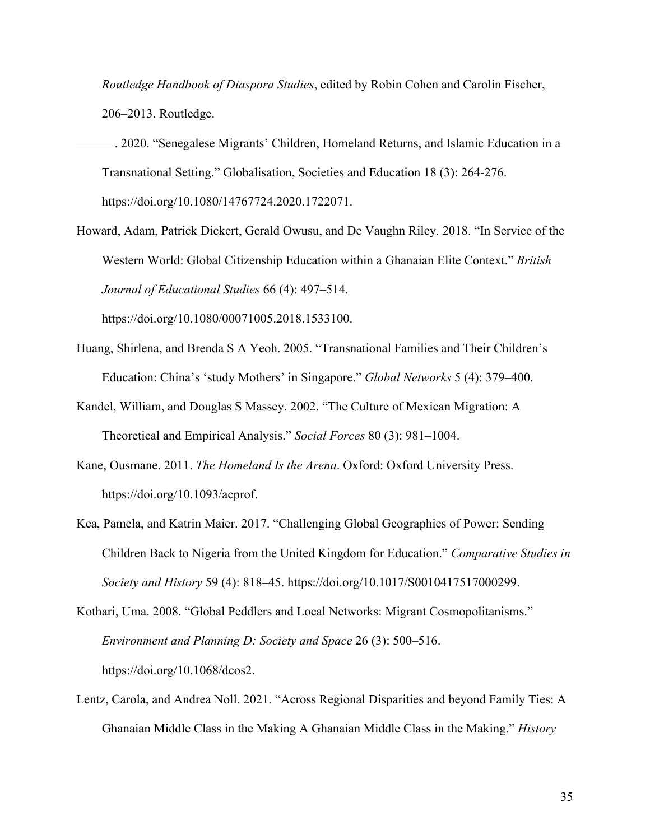*Routledge Handbook of Diaspora Studies*, edited by Robin Cohen and Carolin Fischer, 206–2013. Routledge.

- ———. 2020. "Senegalese Migrants' Children, Homeland Returns, and Islamic Education in a Transnational Setting." Globalisation, Societies and Education 18 (3): 264-276. https://doi.org/10.1080/14767724.2020.1722071.
- Howard, Adam, Patrick Dickert, Gerald Owusu, and De Vaughn Riley. 2018. "In Service of the Western World: Global Citizenship Education within a Ghanaian Elite Context." *British Journal of Educational Studies* 66 (4): 497–514.

https://doi.org/10.1080/00071005.2018.1533100.

- Huang, Shirlena, and Brenda S A Yeoh. 2005. "Transnational Families and Their Children's Education: China's 'study Mothers' in Singapore." *Global Networks* 5 (4): 379–400.
- Kandel, William, and Douglas S Massey. 2002. "The Culture of Mexican Migration: A Theoretical and Empirical Analysis." *Social Forces* 80 (3): 981–1004.
- Kane, Ousmane. 2011. *The Homeland Is the Arena*. Oxford: Oxford University Press. https://doi.org/10.1093/acprof.
- Kea, Pamela, and Katrin Maier. 2017. "Challenging Global Geographies of Power: Sending Children Back to Nigeria from the United Kingdom for Education." *Comparative Studies in Society and History* 59 (4): 818–45. https://doi.org/10.1017/S0010417517000299.
- Kothari, Uma. 2008. "Global Peddlers and Local Networks: Migrant Cosmopolitanisms." *Environment and Planning D: Society and Space* 26 (3): 500–516. https://doi.org/10.1068/dcos2.
- Lentz, Carola, and Andrea Noll. 2021. "Across Regional Disparities and beyond Family Ties: A Ghanaian Middle Class in the Making A Ghanaian Middle Class in the Making." *History*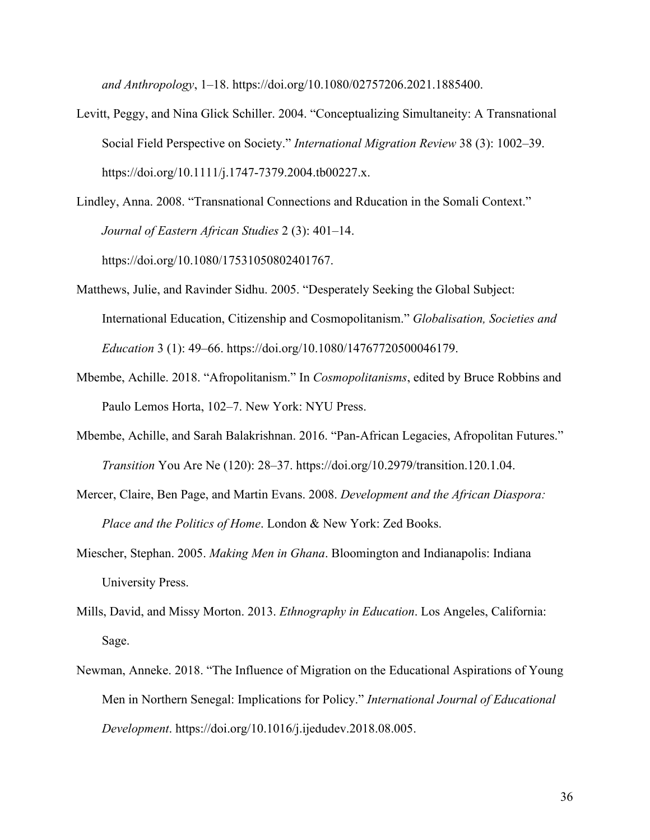*and Anthropology*, 1–18. https://doi.org/10.1080/02757206.2021.1885400.

- Levitt, Peggy, and Nina Glick Schiller. 2004. "Conceptualizing Simultaneity: A Transnational Social Field Perspective on Society." *International Migration Review* 38 (3): 1002–39. https://doi.org/10.1111/j.1747-7379.2004.tb00227.x.
- Lindley, Anna. 2008. "Transnational Connections and Rducation in the Somali Context." *Journal of Eastern African Studies* 2 (3): 401–14. https://doi.org/10.1080/17531050802401767.
- Matthews, Julie, and Ravinder Sidhu. 2005. "Desperately Seeking the Global Subject: International Education, Citizenship and Cosmopolitanism." *Globalisation, Societies and Education* 3 (1): 49–66. https://doi.org/10.1080/14767720500046179.
- Mbembe, Achille. 2018. "Afropolitanism." In *Cosmopolitanisms*, edited by Bruce Robbins and Paulo Lemos Horta, 102–7. New York: NYU Press.
- Mbembe, Achille, and Sarah Balakrishnan. 2016. "Pan-African Legacies, Afropolitan Futures." *Transition* You Are Ne (120): 28–37. https://doi.org/10.2979/transition.120.1.04.
- Mercer, Claire, Ben Page, and Martin Evans. 2008. *Development and the African Diaspora: Place and the Politics of Home*. London & New York: Zed Books.
- Miescher, Stephan. 2005. *Making Men in Ghana*. Bloomington and Indianapolis: Indiana University Press.
- Mills, David, and Missy Morton. 2013. *Ethnography in Education*. Los Angeles, California: Sage.
- Newman, Anneke. 2018. "The Influence of Migration on the Educational Aspirations of Young Men in Northern Senegal: Implications for Policy." *International Journal of Educational Development*. https://doi.org/10.1016/j.ijedudev.2018.08.005.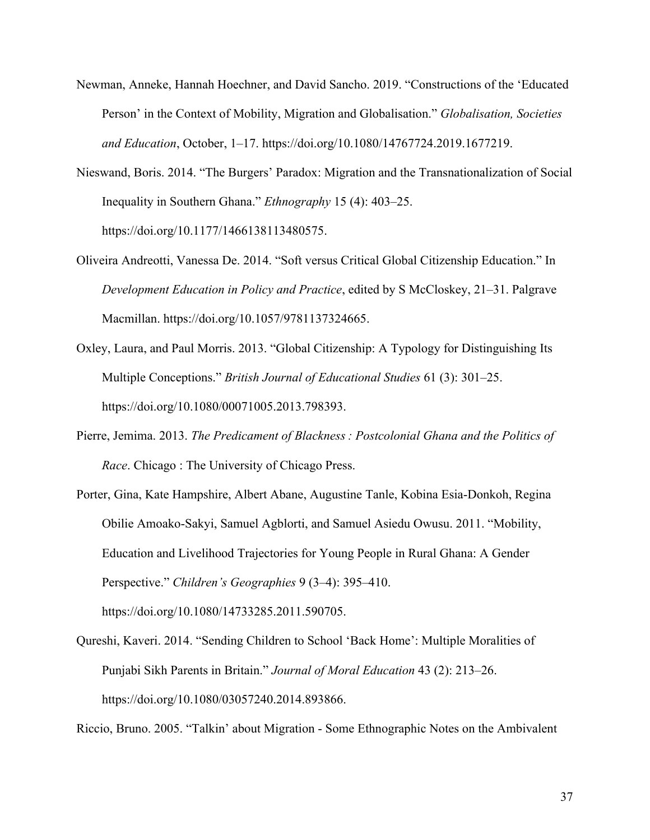- Newman, Anneke, Hannah Hoechner, and David Sancho. 2019. "Constructions of the 'Educated Person' in the Context of Mobility, Migration and Globalisation." *Globalisation, Societies and Education*, October, 1–17. https://doi.org/10.1080/14767724.2019.1677219.
- Nieswand, Boris. 2014. "The Burgers' Paradox: Migration and the Transnationalization of Social Inequality in Southern Ghana." *Ethnography* 15 (4): 403–25. https://doi.org/10.1177/1466138113480575.
- Oliveira Andreotti, Vanessa De. 2014. "Soft versus Critical Global Citizenship Education." In *Development Education in Policy and Practice*, edited by S McCloskey, 21–31. Palgrave Macmillan. https://doi.org/10.1057/9781137324665.
- Oxley, Laura, and Paul Morris. 2013. "Global Citizenship: A Typology for Distinguishing Its Multiple Conceptions." *British Journal of Educational Studies* 61 (3): 301–25. https://doi.org/10.1080/00071005.2013.798393.
- Pierre, Jemima. 2013. *The Predicament of Blackness : Postcolonial Ghana and the Politics of Race*. Chicago : The University of Chicago Press.
- Porter, Gina, Kate Hampshire, Albert Abane, Augustine Tanle, Kobina Esia-Donkoh, Regina Obilie Amoako-Sakyi, Samuel Agblorti, and Samuel Asiedu Owusu. 2011. "Mobility, Education and Livelihood Trajectories for Young People in Rural Ghana: A Gender Perspective." *Children's Geographies* 9 (3–4): 395–410. https://doi.org/10.1080/14733285.2011.590705.
- Qureshi, Kaveri. 2014. "Sending Children to School 'Back Home': Multiple Moralities of Punjabi Sikh Parents in Britain." *Journal of Moral Education* 43 (2): 213–26. https://doi.org/10.1080/03057240.2014.893866.

Riccio, Bruno. 2005. "Talkin' about Migration - Some Ethnographic Notes on the Ambivalent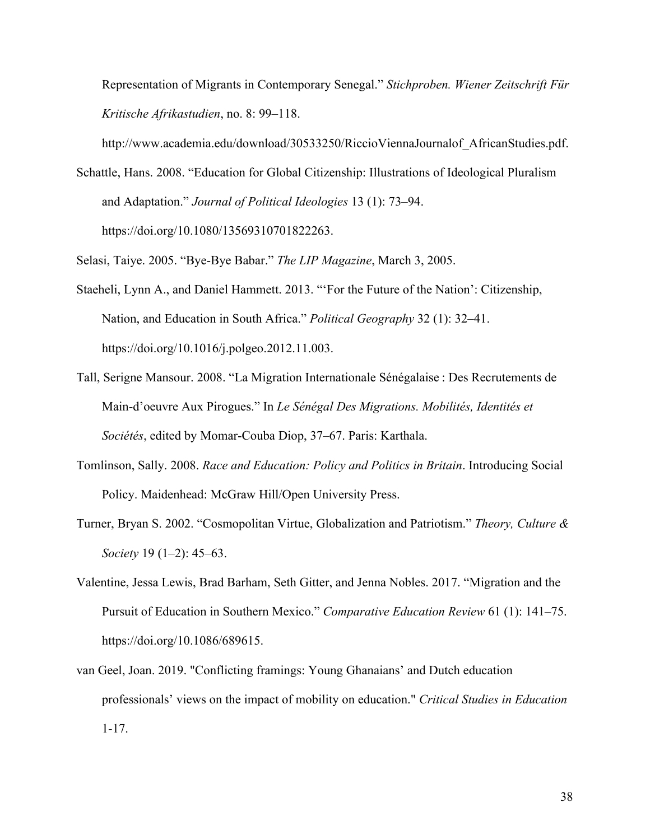Representation of Migrants in Contemporary Senegal." *Stichproben. Wiener Zeitschrift Für Kritische Afrikastudien*, no. 8: 99–118.

http://www.academia.edu/download/30533250/RiccioViennaJournalof\_AfricanStudies.pdf.

- Schattle, Hans. 2008. "Education for Global Citizenship: Illustrations of Ideological Pluralism and Adaptation." *Journal of Political Ideologies* 13 (1): 73–94. https://doi.org/10.1080/13569310701822263.
- Selasi, Taiye. 2005. "Bye-Bye Babar." *The LIP Magazine*, March 3, 2005.
- Staeheli, Lynn A., and Daniel Hammett. 2013. "'For the Future of the Nation': Citizenship, Nation, and Education in South Africa." *Political Geography* 32 (1): 32–41. https://doi.org/10.1016/j.polgeo.2012.11.003.
- Tall, Serigne Mansour. 2008. "La Migration Internationale Sénégalaise : Des Recrutements de Main-d'oeuvre Aux Pirogues." In *Le Sénégal Des Migrations. Mobilités, Identités et Sociétés*, edited by Momar-Couba Diop, 37–67. Paris: Karthala.
- Tomlinson, Sally. 2008. *Race and Education: Policy and Politics in Britain*. Introducing Social Policy. Maidenhead: McGraw Hill/Open University Press.
- Turner, Bryan S. 2002. "Cosmopolitan Virtue, Globalization and Patriotism." *Theory, Culture & Society* 19 (1–2): 45–63.
- Valentine, Jessa Lewis, Brad Barham, Seth Gitter, and Jenna Nobles. 2017. "Migration and the Pursuit of Education in Southern Mexico." *Comparative Education Review* 61 (1): 141–75. https://doi.org/10.1086/689615.
- van Geel, Joan. 2019. "Conflicting framings: Young Ghanaians' and Dutch education professionals' views on the impact of mobility on education." *Critical Studies in Education* 1-17.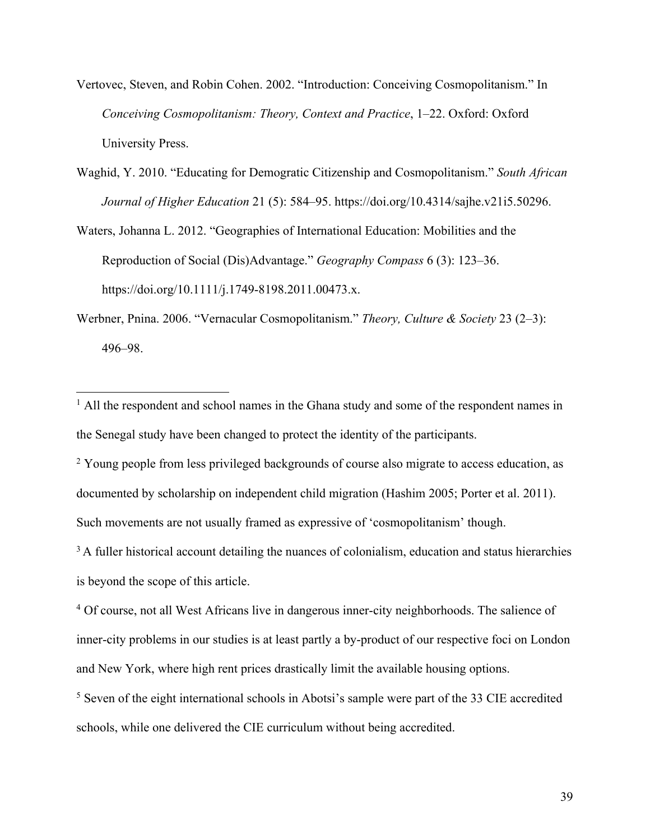- Vertovec, Steven, and Robin Cohen. 2002. "Introduction: Conceiving Cosmopolitanism." In *Conceiving Cosmopolitanism: Theory, Context and Practice*, 1–22. Oxford: Oxford University Press.
- Waghid, Y. 2010. "Educating for Demogratic Citizenship and Cosmopolitanism." *South African Journal of Higher Education* 21 (5): 584–95. https://doi.org/10.4314/sajhe.v21i5.50296.
- Waters, Johanna L. 2012. "Geographies of International Education: Mobilities and the Reproduction of Social (Dis)Advantage." *Geography Compass* 6 (3): 123–36. https://doi.org/10.1111/j.1749-8198.2011.00473.x.
- Werbner, Pnina. 2006. "Vernacular Cosmopolitanism." *Theory, Culture & Society* 23 (2–3): 496–98.

<sup>2</sup> Young people from less privileged backgrounds of course also migrate to access education, as documented by scholarship on independent child migration (Hashim 2005; Porter et al. 2011). Such movements are not usually framed as expressive of 'cosmopolitanism' though.

 $3$  A fuller historical account detailing the nuances of colonialism, education and status hierarchies is beyond the scope of this article.

<sup>4</sup> Of course, not all West Africans live in dangerous inner-city neighborhoods. The salience of inner-city problems in our studies is at least partly a by-product of our respective foci on London and New York, where high rent prices drastically limit the available housing options.

 $<sup>1</sup>$  All the respondent and school names in the Ghana study and some of the respondent names in</sup> the Senegal study have been changed to protect the identity of the participants.

<sup>5</sup> Seven of the eight international schools in Abotsi's sample were part of the 33 CIE accredited schools, while one delivered the CIE curriculum without being accredited.